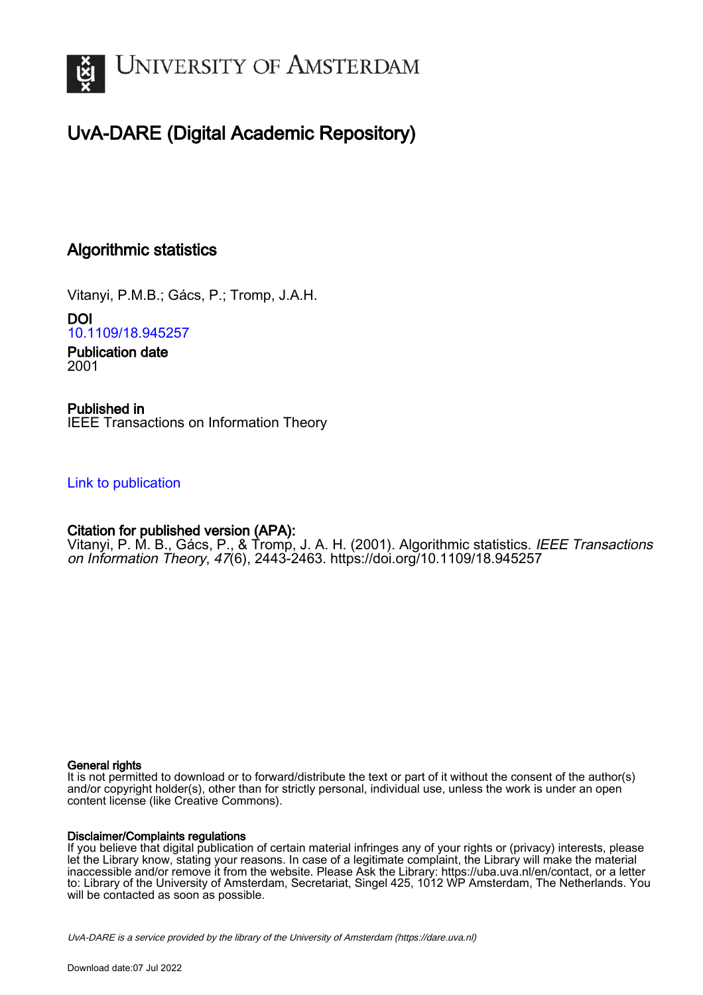

## UvA-DARE (Digital Academic Repository)

## Algorithmic statistics

Vitanyi, P.M.B.; Gács, P.; Tromp, J.A.H.

DOI [10.1109/18.945257](https://doi.org/10.1109/18.945257)

Publication date 2001

Published in IEEE Transactions on Information Theory

[Link to publication](https://dare.uva.nl/personal/pure/en/publications/algorithmic-statistics(4b334b0b-c148-448b-a2d4-479537b9367e).html)

### Citation for published version (APA):

Vitanyi, P. M. B., Gács, P., & Tromp, J. A. H. (2001). Algorithmic statistics. *IEEE Transactions* on Information Theory, 47(6), 2443-2463. <https://doi.org/10.1109/18.945257>

#### General rights

It is not permitted to download or to forward/distribute the text or part of it without the consent of the author(s) and/or copyright holder(s), other than for strictly personal, individual use, unless the work is under an open content license (like Creative Commons).

#### Disclaimer/Complaints regulations

If you believe that digital publication of certain material infringes any of your rights or (privacy) interests, please let the Library know, stating your reasons. In case of a legitimate complaint, the Library will make the material inaccessible and/or remove it from the website. Please Ask the Library: https://uba.uva.nl/en/contact, or a letter to: Library of the University of Amsterdam, Secretariat, Singel 425, 1012 WP Amsterdam, The Netherlands. You will be contacted as soon as possible.

UvA-DARE is a service provided by the library of the University of Amsterdam (http*s*://dare.uva.nl)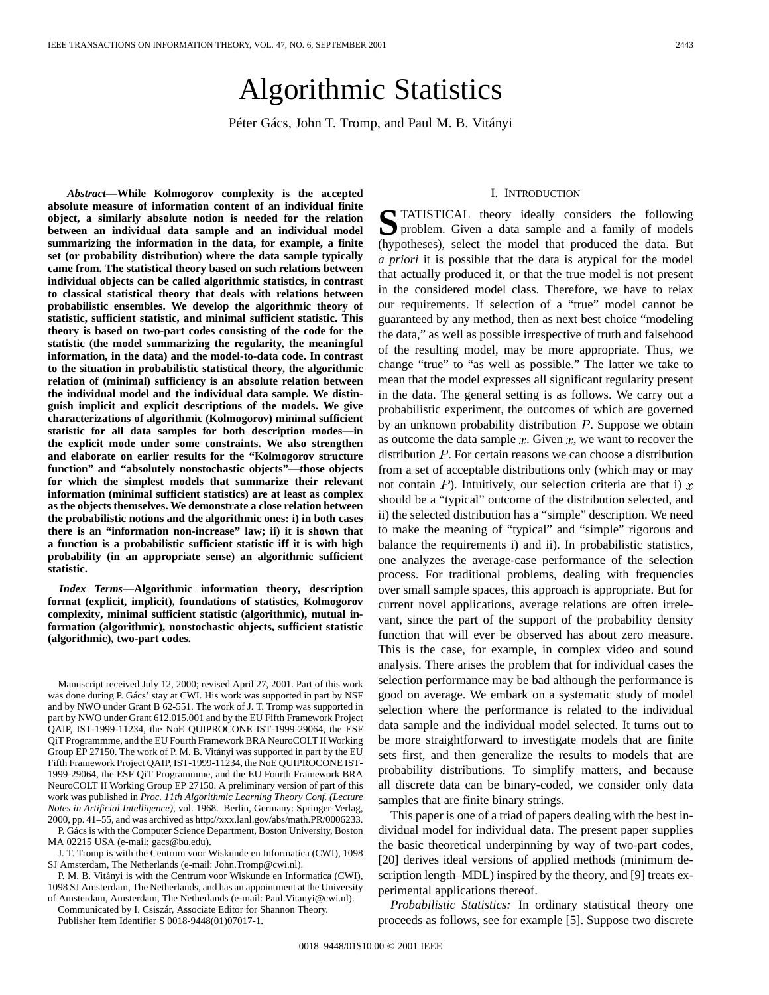# Algorithmic Statistics

Péter Gács, John T. Tromp, and Paul M. B. Vitányi

*Abstract—***While Kolmogorov complexity is the accepted absolute measure of information content of an individual finite object, a similarly absolute notion is needed for the relation between an individual data sample and an individual model summarizing the information in the data, for example, a finite set (or probability distribution) where the data sample typically came from. The statistical theory based on such relations between individual objects can be called algorithmic statistics, in contrast to classical statistical theory that deals with relations between probabilistic ensembles. We develop the algorithmic theory of statistic, sufficient statistic, and minimal sufficient statistic. This theory is based on two-part codes consisting of the code for the statistic (the model summarizing the regularity, the meaningful information, in the data) and the model-to-data code. In contrast to the situation in probabilistic statistical theory, the algorithmic relation of (minimal) sufficiency is an absolute relation between the individual model and the individual data sample. We distinguish implicit and explicit descriptions of the models. We give characterizations of algorithmic (Kolmogorov) minimal sufficient statistic for all data samples for both description modes—in the explicit mode under some constraints. We also strengthen and elaborate on earlier results for the "Kolmogorov structure function" and "absolutely nonstochastic objects"—those objects for which the simplest models that summarize their relevant information (minimal sufficient statistics) are at least as complex as the objects themselves. We demonstrate a close relation between the probabilistic notions and the algorithmic ones: i) in both cases there is an "information non-increase" law; ii) it is shown that a function is a probabilistic sufficient statistic iff it is with high probability (in an appropriate sense) an algorithmic sufficient statistic.**

*Index Terms—***Algorithmic information theory, description format (explicit, implicit), foundations of statistics, Kolmogorov complexity, minimal sufficient statistic (algorithmic), mutual information (algorithmic), nonstochastic objects, sufficient statistic (algorithmic), two-part codes.**

Manuscript received July 12, 2000; revised April 27, 2001. Part of this work was done during P. Gács' stay at CWI. His work was supported in part by NSF and by NWO under Grant B 62-551. The work of J. T. Tromp was supported in part by NWO under Grant 612.015.001 and by the EU Fifth Framework Project QAIP, IST-1999-11234, the NoE QUIPROCONE IST-1999-29064, the ESF QiT Programmme, and the EU Fourth Framework BRA NeuroCOLT II Working Group EP 27150. The work of P. M. B. Vitányi was supported in part by the EU Fifth Framework Project QAIP, IST-1999-11234, the NoE QUIPROCONE IST-1999-29064, the ESF QiT Programmme, and the EU Fourth Framework BRA NeuroCOLT II Working Group EP 27150. A preliminary version of part of this work was published in *Proc. 11th Algorithmic Learning Theory Conf. (Lecture Notes in Artificial Intelligence)*, vol. 1968. Berlin, Germany: Springer-Verlag, 2000, pp. 41–55, and was archived as http://xxx.lanl.gov/abs/math.PR/0006233.

P. Gács is with the Computer Science Department, Boston University, Boston MA 02215 USA (e-mail: gacs@bu.edu).

J. T. Tromp is with the Centrum voor Wiskunde en Informatica (CWI), 1098 SJ Amsterdam, The Netherlands (e-mail: John.Tromp@cwi.nl).

P. M. B. Vitányi is with the Centrum voor Wiskunde en Informatica (CWI), 1098 SJ Amsterdam, The Netherlands, and has an appointment at the University of Amsterdam, Amsterdam, The Netherlands (e-mail: Paul.Vitanyi@cwi.nl).

Communicated by I. Csiszár, Associate Editor for Shannon Theory. Publisher Item Identifier S 0018-9448(01)07017-1.

#### I. INTRODUCTION

**S**TATISTICAL theory ideally considers the following problem. Given a data sample and a family of models (hypotheses), select the model that produced the data. But *a priori* it is possible that the data is atypical for the model that actually produced it, or that the true model is not present in the considered model class. Therefore, we have to relax our requirements. If selection of a "true" model cannot be guaranteed by any method, then as next best choice "modeling the data," as well as possible irrespective of truth and falsehood of the resulting model, may be more appropriate. Thus, we change "true" to "as well as possible." The latter we take to mean that the model expresses all significant regularity present in the data. The general setting is as follows. We carry out a probabilistic experiment, the outcomes of which are governed by an unknown probability distribution  $P$ . Suppose we obtain as outcome the data sample  $x$ . Given  $x$ , we want to recover the distribution  $P$ . For certain reasons we can choose a distribution from a set of acceptable distributions only (which may or may not contain  $P$ ). Intuitively, our selection criteria are that i)  $x$ should be a "typical" outcome of the distribution selected, and ii) the selected distribution has a "simple" description. We need to make the meaning of "typical" and "simple" rigorous and balance the requirements i) and ii). In probabilistic statistics, one analyzes the average-case performance of the selection process. For traditional problems, dealing with frequencies over small sample spaces, this approach is appropriate. But for current novel applications, average relations are often irrelevant, since the part of the support of the probability density function that will ever be observed has about zero measure. This is the case, for example, in complex video and sound analysis. There arises the problem that for individual cases the selection performance may be bad although the performance is good on average. We embark on a systematic study of model selection where the performance is related to the individual data sample and the individual model selected. It turns out to be more straightforward to investigate models that are finite sets first, and then generalize the results to models that are probability distributions. To simplify matters, and because all discrete data can be binary-coded, we consider only data samples that are finite binary strings.

This paper is one of a triad of papers dealing with the best individual model for individual data. The present paper supplies the basic theoretical underpinning by way of two-part codes, [20] derives ideal versions of applied methods (minimum description length–MDL) inspired by the theory, and [9] treats experimental applications thereof.

*Probabilistic Statistics:* In ordinary statistical theory one proceeds as follows, see for example [5]. Suppose two discrete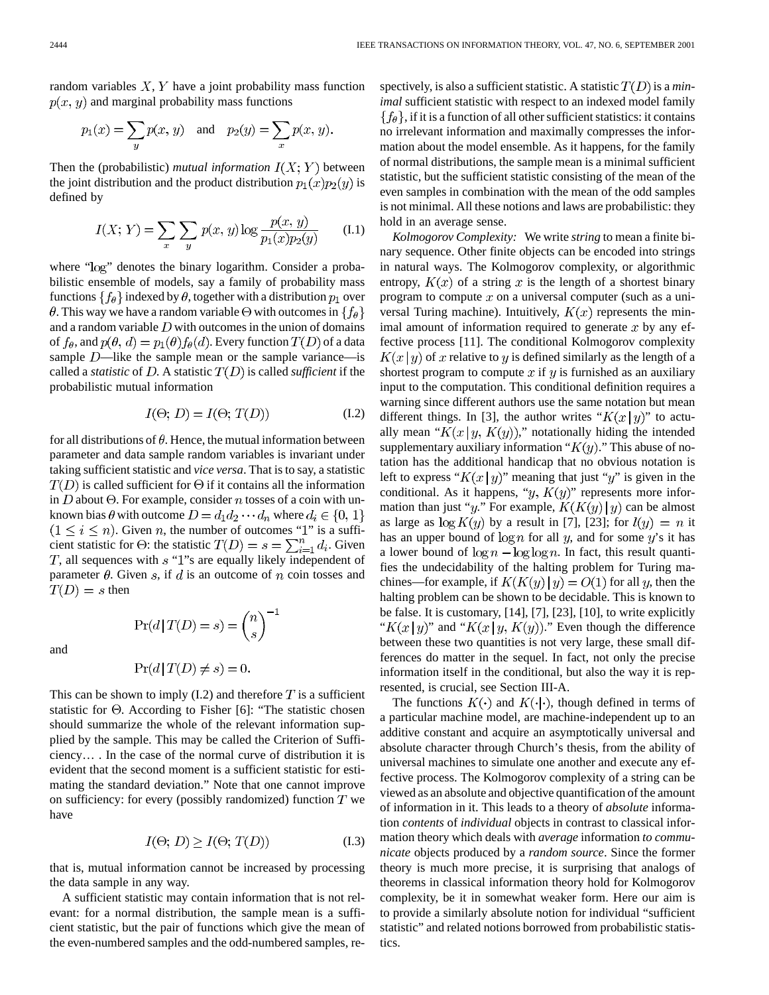random variables  $X, Y$  have a joint probability mass function  $p(x, y)$  and marginal probability mass functions

$$
p_1(x) = \sum_{y} p(x, y)
$$
 and  $p_2(y) = \sum_{x} p(x, y)$ 

Then the (probabilistic) *mutual information*  $I(X; Y)$  between the joint distribution and the product distribution  $p_1(x)p_2(y)$  is defined by

$$
I(X; Y) = \sum_{x} \sum_{y} p(x, y) \log \frac{p(x, y)}{p_1(x)p_2(y)} \qquad (1.1)
$$

where "log" denotes the binary logarithm. Consider a probabilistic ensemble of models, say a family of probability mass functions  $\{f_{\theta}\}\$  indexed by  $\theta$ , together with a distribution  $p_1$  over  $\theta$ . This way we have a random variable  $\Theta$  with outcomes in  $\{f_{\theta}\}\$ and a random variable  $D$  with outcomes in the union of domains of  $f_{\theta}$ , and  $p(\theta, d) = p_1(\theta) f_{\theta}(d)$ . Every function  $T(D)$  of a data sample  $D$ —like the sample mean or the sample variance—is called a *statistic* of D. A statistic  $T(D)$  is called *sufficient* if the probabilistic mutual information

$$
I(\Theta; D) = I(\Theta; T(D)) \tag{I.2}
$$

for all distributions of  $\theta$ . Hence, the mutual information between parameter and data sample random variables is invariant under taking sufficient statistic and *vice versa*. That is to say, a statistic  $T(D)$  is called sufficient for  $\Theta$  if it contains all the information in D about  $\Theta$ . For example, consider n tosses of a coin with unknown bias  $\theta$  with outcome  $D = d_1 d_2 \cdots d_n$  where  $d_i \in \{0, 1\}$ . Given  $n$ , the number of outcomes "1" is a sufficient statistic for  $\Theta$ : the statistic  $T(D) = s = \sum_{i=1}^n d_i$ . Given  $T$ , all sequences with  $s$  "1"s are equally likely independent of parameter  $\theta$ . Given s, if d is an outcome of n coin tosses and  $T(D) = s$  then

 $\Pr(d\,|\,T(D)=s)=\binom{n}{s}^{-1}$ 

and

$$
\Pr(d \,|\, T(D) \neq s) = 0
$$

This can be shown to imply  $(I.2)$  and therefore T is a sufficient statistic for  $\Theta$ . According to Fisher [6]: "The statistic chosen should summarize the whole of the relevant information supplied by the sample. This may be called the Criterion of Sufficiency… . In the case of the normal curve of distribution it is evident that the second moment is a sufficient statistic for estimating the standard deviation." Note that one cannot improve on sufficiency: for every (possibly randomized) function  $T$  we have

$$
I(\Theta; D) \ge I(\Theta; T(D)) \tag{I.3}
$$

that is, mutual information cannot be increased by processing the data sample in any way.

A sufficient statistic may contain information that is not relevant: for a normal distribution, the sample mean is a sufficient statistic, but the pair of functions which give the mean of the even-numbered samples and the odd-numbered samples, respectively, is also a sufficient statistic. A statistic  $T(D)$  is a *minimal* sufficient statistic with respect to an indexed model family  $\{f_{\theta}\}\$ , if it is a function of all other sufficient statistics: it contains no irrelevant information and maximally compresses the information about the model ensemble. As it happens, for the family of normal distributions, the sample mean is a minimal sufficient statistic, but the sufficient statistic consisting of the mean of the even samples in combination with the mean of the odd samples is not minimal. All these notions and laws are probabilistic: they hold in an average sense.

*Kolmogorov Complexity:* We write *string* to mean a finite binary sequence. Other finite objects can be encoded into strings in natural ways. The Kolmogorov complexity, or algorithmic entropy,  $K(x)$  of a string x is the length of a shortest binary program to compute  $x$  on a universal computer (such as a universal Turing machine). Intuitively,  $K(x)$  represents the minimal amount of information required to generate  $x$  by any effective process [11]. The conditional Kolmogorov complexity  $K(x | y)$  of x relative to y is defined similarly as the length of a shortest program to compute  $x$  if  $y$  is furnished as an auxiliary input to the computation. This conditional definition requires a warning since different authors use the same notation but mean different things. In [3], the author writes " $K(x|y)$ " to actually mean " $K(x | y, K(y))$ ," notationally hiding the intended supplementary auxiliary information " $K(y)$ ." This abuse of notation has the additional handicap that no obvious notation is left to express " $K(x|y)$ " meaning that just "y" is given in the conditional. As it happens, " $y$ ,  $K(y)$ " represents more information than just "y." For example,  $K(K(y) | y)$  can be almost as large as  $\log K(y)$  by a result in [7], [23]; for  $l(y) = n$  it has an upper bound of  $\log n$  for all y, and for some y's it has a lower bound of  $\log n - \log \log n$ . In fact, this result quantifies the undecidability of the halting problem for Turing machines—for example, if  $K(K(y) | y) = O(1)$  for all y, then the halting problem can be shown to be decidable. This is known to be false. It is customary, [14], [7], [23], [10], to write explicitly " $K(x|y)$ " and " $K(x|y, K(y))$ ." Even though the difference between these two quantities is not very large, these small differences do matter in the sequel. In fact, not only the precise information itself in the conditional, but also the way it is represented, is crucial, see Section III-A.

The functions  $K(\cdot)$  and  $K(\cdot|\cdot)$ , though defined in terms of a particular machine model, are machine-independent up to an additive constant and acquire an asymptotically universal and absolute character through Church's thesis, from the ability of universal machines to simulate one another and execute any effective process. The Kolmogorov complexity of a string can be viewed as an absolute and objective quantification of the amount of information in it. This leads to a theory of *absolute* information *contents* of *individual* objects in contrast to classical information theory which deals with *average* information *to communicate* objects produced by a *random source*. Since the former theory is much more precise, it is surprising that analogs of theorems in classical information theory hold for Kolmogorov complexity, be it in somewhat weaker form. Here our aim is to provide a similarly absolute notion for individual "sufficient statistic" and related notions borrowed from probabilistic statistics.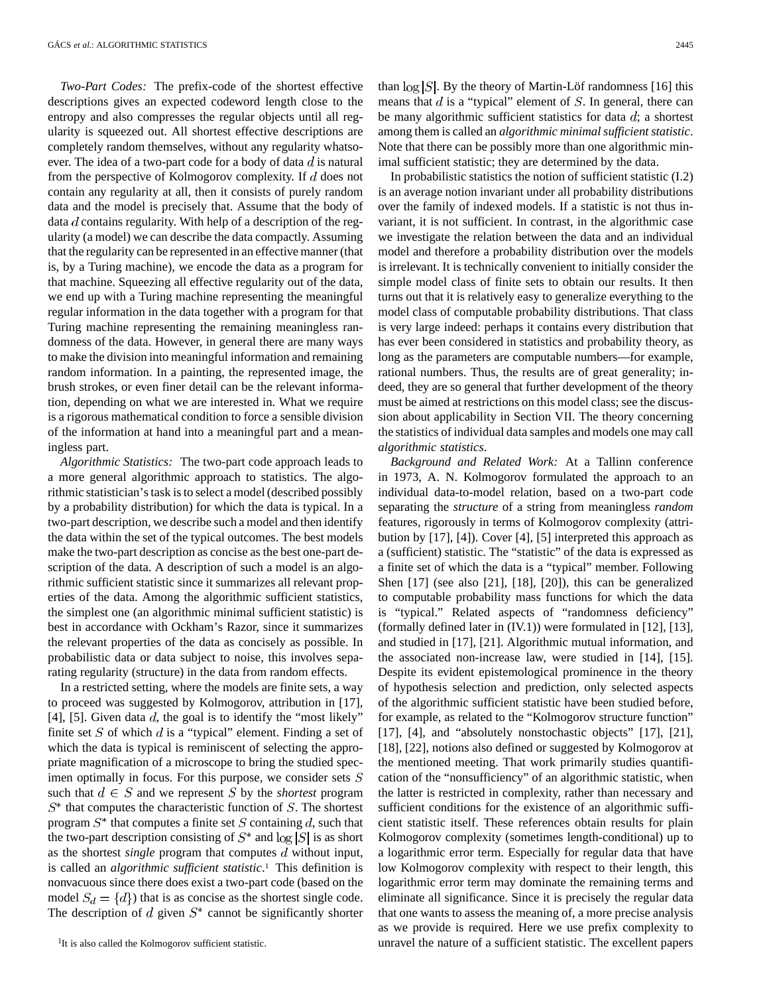*Two-Part Codes:* The prefix-code of the shortest effective descriptions gives an expected codeword length close to the entropy and also compresses the regular objects until all regularity is squeezed out. All shortest effective descriptions are completely random themselves, without any regularity whatsoever. The idea of a two-part code for a body of data  $d$  is natural from the perspective of Kolmogorov complexity. If  $d$  does not contain any regularity at all, then it consists of purely random data and the model is precisely that. Assume that the body of data  $d$  contains regularity. With help of a description of the regularity (a model) we can describe the data compactly. Assuming that the regularity can be represented in an effective manner (that is, by a Turing machine), we encode the data as a program for that machine. Squeezing all effective regularity out of the data, we end up with a Turing machine representing the meaningful regular information in the data together with a program for that Turing machine representing the remaining meaningless randomness of the data. However, in general there are many ways to make the division into meaningful information and remaining random information. In a painting, the represented image, the brush strokes, or even finer detail can be the relevant information, depending on what we are interested in. What we require is a rigorous mathematical condition to force a sensible division of the information at hand into a meaningful part and a meaningless part.

*Algorithmic Statistics:* The two-part code approach leads to a more general algorithmic approach to statistics. The algorithmic statistician's task is to select a model (described possibly by a probability distribution) for which the data is typical. In a two-part description, we describe such a model and then identify the data within the set of the typical outcomes. The best models make the two-part description as concise as the best one-part description of the data. A description of such a model is an algorithmic sufficient statistic since it summarizes all relevant properties of the data. Among the algorithmic sufficient statistics, the simplest one (an algorithmic minimal sufficient statistic) is best in accordance with Ockham's Razor, since it summarizes the relevant properties of the data as concisely as possible. In probabilistic data or data subject to noise, this involves separating regularity (structure) in the data from random effects.

In a restricted setting, where the models are finite sets, a way to proceed was suggested by Kolmogorov, attribution in [17], [4], [5]. Given data  $d$ , the goal is to identify the "most likely" finite set S of which  $d$  is a "typical" element. Finding a set of which the data is typical is reminiscent of selecting the appropriate magnification of a microscope to bring the studied specimen optimally in focus. For this purpose, we consider sets  $S$ such that  $d \in S$  and we represent S by the *shortest* program  $S^*$  that computes the characteristic function of  $S$ . The shortest program  $S^*$  that computes a finite set S containing  $d$ , such that the two-part description consisting of  $S^*$  and  $\log |S|$  is as short as the shortest *single* program that computes  $d$  without input, is called an *algorithmic sufficient statistic*.1 This definition is nonvacuous since there does exist a two-part code (based on the model  $S_d = \{d\}$  that is as concise as the shortest single code. The description of  $d$  given  $S^*$  cannot be significantly shorter than  $\log |S|$ . By the theory of Martin-Löf randomness [16] this means that  $d$  is a "typical" element of  $S$ . In general, there can be many algorithmic sufficient statistics for data  $d$ ; a shortest among them is called an *algorithmic minimal sufficient statistic*. Note that there can be possibly more than one algorithmic minimal sufficient statistic; they are determined by the data.

In probabilistic statistics the notion of sufficient statistic (I.2) is an average notion invariant under all probability distributions over the family of indexed models. If a statistic is not thus invariant, it is not sufficient. In contrast, in the algorithmic case we investigate the relation between the data and an individual model and therefore a probability distribution over the models is irrelevant. It is technically convenient to initially consider the simple model class of finite sets to obtain our results. It then turns out that it is relatively easy to generalize everything to the model class of computable probability distributions. That class is very large indeed: perhaps it contains every distribution that has ever been considered in statistics and probability theory, as long as the parameters are computable numbers—for example, rational numbers. Thus, the results are of great generality; indeed, they are so general that further development of the theory must be aimed at restrictions on this model class; see the discussion about applicability in Section VII. The theory concerning the statistics of individual data samples and models one may call *algorithmic statistics*.

*Background and Related Work:* At a Tallinn conference in 1973, A. N. Kolmogorov formulated the approach to an individual data-to-model relation, based on a two-part code separating the *structure* of a string from meaningless *random* features, rigorously in terms of Kolmogorov complexity (attribution by [17], [4]). Cover [4], [5] interpreted this approach as a (sufficient) statistic. The "statistic" of the data is expressed as a finite set of which the data is a "typical" member. Following Shen [17] (see also [21], [18], [20]), this can be generalized to computable probability mass functions for which the data is "typical." Related aspects of "randomness deficiency" (formally defined later in (IV.1)) were formulated in [12], [13], and studied in [17], [21]. Algorithmic mutual information, and the associated non-increase law, were studied in [14], [15]. Despite its evident epistemological prominence in the theory of hypothesis selection and prediction, only selected aspects of the algorithmic sufficient statistic have been studied before, for example, as related to the "Kolmogorov structure function" [17], [4], and "absolutely nonstochastic objects" [17], [21], [18], [22], notions also defined or suggested by Kolmogorov at the mentioned meeting. That work primarily studies quantification of the "nonsufficiency" of an algorithmic statistic, when the latter is restricted in complexity, rather than necessary and sufficient conditions for the existence of an algorithmic sufficient statistic itself. These references obtain results for plain Kolmogorov complexity (sometimes length-conditional) up to a logarithmic error term. Especially for regular data that have low Kolmogorov complexity with respect to their length, this logarithmic error term may dominate the remaining terms and eliminate all significance. Since it is precisely the regular data that one wants to assess the meaning of, a more precise analysis as we provide is required. Here we use prefix complexity to unravel the nature of a sufficient statistic. The excellent papers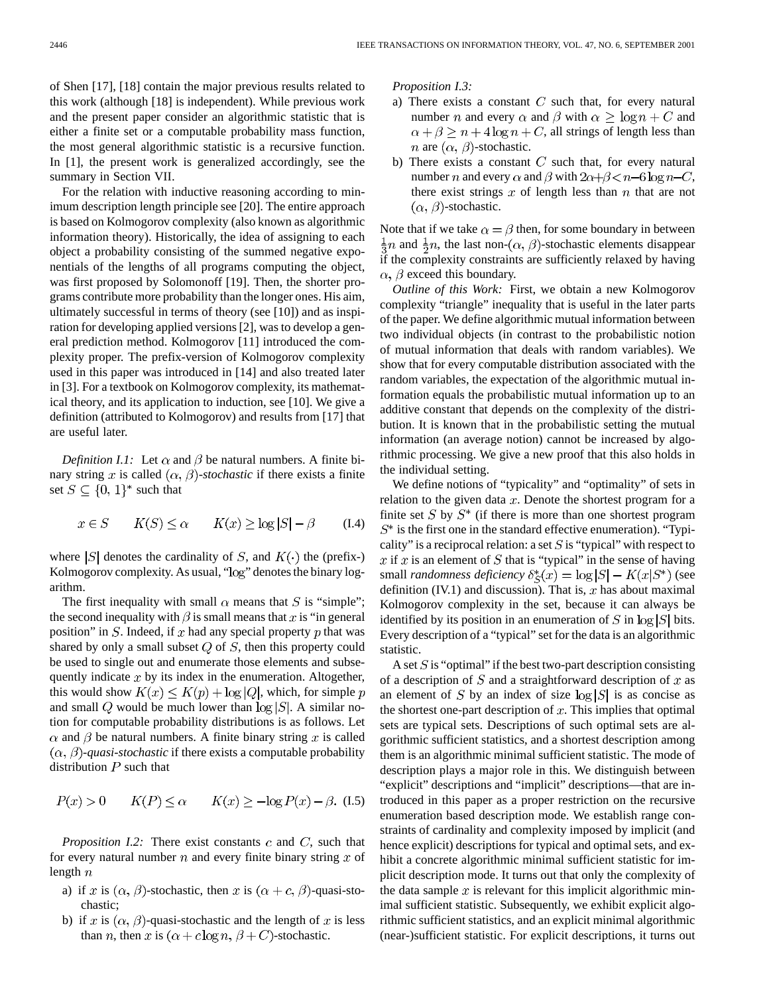of Shen [17], [18] contain the major previous results related to this work (although [18] is independent). While previous work and the present paper consider an algorithmic statistic that is either a finite set or a computable probability mass function, the most general algorithmic statistic is a recursive function. In [1], the present work is generalized accordingly, see the summary in Section VII.

For the relation with inductive reasoning according to minimum description length principle see [20]. The entire approach is based on Kolmogorov complexity (also known as algorithmic information theory). Historically, the idea of assigning to each object a probability consisting of the summed negative exponentials of the lengths of all programs computing the object, was first proposed by Solomonoff [19]. Then, the shorter programs contribute more probability than the longer ones. His aim, ultimately successful in terms of theory (see [10]) and as inspiration for developing applied versions [2], was to develop a general prediction method. Kolmogorov [11] introduced the complexity proper. The prefix-version of Kolmogorov complexity used in this paper was introduced in [14] and also treated later in [3]. For a textbook on Kolmogorov complexity, its mathematical theory, and its application to induction, see [10]. We give a definition (attributed to Kolmogorov) and results from [17] that are useful later.

*Definition I.1:* Let  $\alpha$  and  $\beta$  be natural numbers. A finite binary string x is called  $(\alpha, \beta)$ -stochastic if there exists a finite set  $S \subseteq \{0, 1\}^*$  such that

$$
x \in S \qquad K(S) \le \alpha \qquad K(x) \ge \log|S| - \beta \qquad (1.4)
$$

where  $|S|$  denotes the cardinality of S, and  $K(\cdot)$  the (prefix-) Kolmogorov complexity. As usual, "log" denotes the binary logarithm.

The first inequality with small  $\alpha$  means that S is "simple"; the second inequality with  $\beta$  is small means that x is "in general position" in  $S$ . Indeed, if  $x$  had any special property  $p$  that was shared by only a small subset  $Q$  of  $S$ , then this property could be used to single out and enumerate those elements and subsequently indicate  $x$  by its index in the enumeration. Altogether, this would show  $K(x) \leq K(p) + \log |Q|$ , which, for simple p and small Q would be much lower than  $\log |S|$ . A similar notion for computable probability distributions is as follows. Let  $\alpha$  and  $\beta$  be natural numbers. A finite binary string x is called  $(\alpha, \beta)$ -*quasi-stochastic* if there exists a computable probability distribution  $P$  such that

$$
P(x) > 0 \qquad K(P) \le \alpha \qquad K(x) \ge -\log P(x) - \beta. \tag{I.5}
$$

*Proposition I.2:* There exist constants  $c$  and  $C$ , such that for every natural number  $n$  and every finite binary string  $x$  of length  $n$ 

- a) if x is  $(\alpha, \beta)$ -stochastic, then x is  $(\alpha + c, \beta)$ -quasi-stochastic;
- b) if x is  $(\alpha, \beta)$ -quasi-stochastic and the length of x is less than *n*, then x is  $(\alpha + c \log n, \beta + C)$ -stochastic.

*Proposition I.3:*

- a) There exists a constant  $C$  such that, for every natural number *n* and every  $\alpha$  and  $\beta$  with  $\alpha \geq \log n + C$  and  $\alpha + \beta \ge n + 4\log n + C$ , all strings of length less than *n* are  $(\alpha, \beta)$ -stochastic.
- b) There exists a constant  $C$  such that, for every natural number *n* and every  $\alpha$  and  $\beta$  with  $2\alpha+\beta < n-6\log n-C$ , there exist strings  $x$  of length less than  $n$  that are not  $(\alpha, \beta)$ -stochastic.

Note that if we take  $\alpha = \beta$  then, for some boundary in between  $\frac{1}{3}n$  and  $\frac{1}{2}n$ , the last non- $(\alpha, \beta)$ -stochastic elements disappear if the complexity constraints are sufficiently relaxed by having  $\alpha$ ,  $\beta$  exceed this boundary.

*Outline of this Work:* First, we obtain a new Kolmogorov complexity "triangle" inequality that is useful in the later parts of the paper. We define algorithmic mutual information between two individual objects (in contrast to the probabilistic notion of mutual information that deals with random variables). We show that for every computable distribution associated with the random variables, the expectation of the algorithmic mutual information equals the probabilistic mutual information up to an additive constant that depends on the complexity of the distribution. It is known that in the probabilistic setting the mutual information (an average notion) cannot be increased by algorithmic processing. We give a new proof that this also holds in the individual setting.

We define notions of "typicality" and "optimality" of sets in relation to the given data  $x$ . Denote the shortest program for a finite set  $S$  by  $S^*$  (if there is more than one shortest program  $S^*$  is the first one in the standard effective enumeration). "Typicality" is a reciprocal relation: a set  $S$  is "typical" with respect to x if x is an element of S that is "typical" in the sense of having small *randomness deficiency*  $\delta_{\mathcal{S}}^*(x) = \log |S| - K(x|S^*)$  (see definition (IV.1) and discussion). That is,  $x$  has about maximal Kolmogorov complexity in the set, because it can always be identified by its position in an enumeration of S in  $log |S|$  bits. Every description of a "typical" set for the data is an algorithmic statistic.

A set  $S$  is "optimal" if the best two-part description consisting of a description of  $S$  and a straightforward description of  $x$  as an element of S by an index of size  $log |S|$  is as concise as the shortest one-part description of  $x$ . This implies that optimal sets are typical sets. Descriptions of such optimal sets are algorithmic sufficient statistics, and a shortest description among them is an algorithmic minimal sufficient statistic. The mode of description plays a major role in this. We distinguish between "explicit" descriptions and "implicit" descriptions—that are introduced in this paper as a proper restriction on the recursive enumeration based description mode. We establish range constraints of cardinality and complexity imposed by implicit (and hence explicit) descriptions for typical and optimal sets, and exhibit a concrete algorithmic minimal sufficient statistic for implicit description mode. It turns out that only the complexity of the data sample  $x$  is relevant for this implicit algorithmic minimal sufficient statistic. Subsequently, we exhibit explicit algorithmic sufficient statistics, and an explicit minimal algorithmic (near-)sufficient statistic. For explicit descriptions, it turns out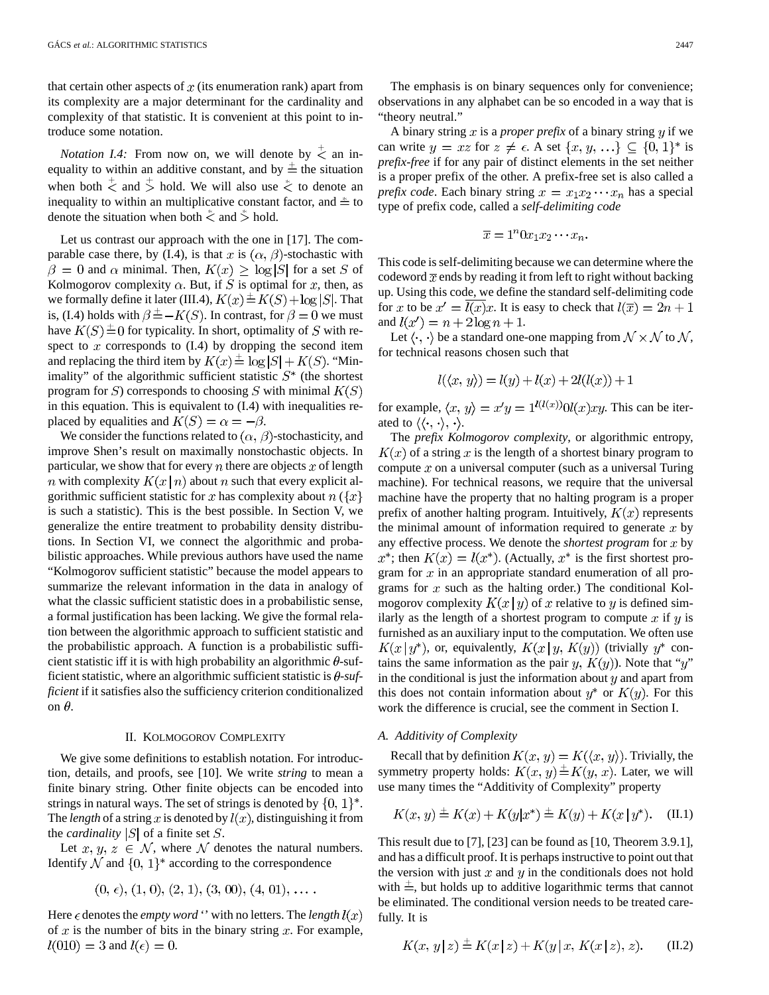that certain other aspects of  $x$  (its enumeration rank) apart from its complexity are a major determinant for the cardinality and complexity of that statistic. It is convenient at this point to introduce some notation.

*Notation I.4:* From now on, we will denote by  $\leq$  an inequality to within an additive constant, and by  $\pm$  the situation when both  $\stackrel{+}{\le}$  and  $\stackrel{+}{\ge}$  hold. We will also use  $\stackrel{*}{\le}$  to denote an inequality to within an multiplicative constant factor, and  $\stackrel{*}{=}$  to denote the situation when both  $\stackrel{*}{\le}$  and  $\stackrel{*}{\ge}$  hold.

Let us contrast our approach with the one in [17]. The comparable case there, by (I.4), is that x is  $(\alpha, \beta)$ -stochastic with  $\beta = 0$  and  $\alpha$  minimal. Then,  $K(x) \geq \log |S|$  for a set S of Kolmogorov complexity  $\alpha$ . But, if S is optimal for x, then, as we formally define it later (III.4),  $K(x) \triangleq K(S) + \log |S|$ . That is, (I.4) holds with  $\beta = -K(S)$ . In contrast, for  $\beta = 0$  we must have  $K(S) \triangleq 0$  for typicality. In short, optimality of S with respect to  $x$  corresponds to  $(I.4)$  by dropping the second item and replacing the third item by  $K(x) \triangleq \log |S| + K(S)$ . "Minimality" of the algorithmic sufficient statistic  $S^*$  (the shortest program for S) corresponds to choosing S with minimal  $K(S)$ in this equation. This is equivalent to (I.4) with inequalities replaced by equalities and  $K(S) = \alpha = -\beta$ .

We consider the functions related to  $(\alpha, \beta)$ -stochasticity, and improve Shen's result on maximally nonstochastic objects. In particular, we show that for every  $n$  there are objects  $x$  of length *n* with complexity  $K(x|n)$  about *n* such that every explicit algorithmic sufficient statistic for x has complexity about  $n \leq x$ is such a statistic). This is the best possible. In Section V, we generalize the entire treatment to probability density distributions. In Section VI, we connect the algorithmic and probabilistic approaches. While previous authors have used the name "Kolmogorov sufficient statistic" because the model appears to summarize the relevant information in the data in analogy of what the classic sufficient statistic does in a probabilistic sense, a formal justification has been lacking. We give the formal relation between the algorithmic approach to sufficient statistic and the probabilistic approach. A function is a probabilistic sufficient statistic iff it is with high probability an algorithmic  $\theta$ -sufficient statistic, where an algorithmic sufficient statistic is  $\theta$ -suf*ficient* if it satisfies also the sufficiency criterion conditionalized on  $\theta$ .

#### II. KOLMOGOROV COMPLEXITY

We give some definitions to establish notation. For introduction, details, and proofs, see [10]. We write *string* to mean a finite binary string. Other finite objects can be encoded into strings in natural ways. The set of strings is denoted by  $\{0, 1\}^*$ . The *length* of a string x is denoted by  $l(x)$ , distinguishing it from the *cardinality*  $|S|$  of a finite set S.

Let  $x, y, z \in \mathcal{N}$ , where  $\mathcal N$  denotes the natural numbers. Identify  $\mathcal N$  and  $\{0, 1\}^*$  according to the correspondence

$$
(0, \epsilon), (1, 0), (2, 1), (3, 00), (4, 01), \ldots.
$$

Here  $\epsilon$  denotes the *empty word* " with no letters. The *length*  $l(x)$ of  $x$  is the number of bits in the binary string  $x$ . For example,  $l(010) = 3$  and  $l(\epsilon) = 0$ .

A binary string  $x$  is a *proper prefix* of a binary string  $y$  if we can write  $y = xz$  for  $z \neq \epsilon$ . A set  $\{x, y, ...\} \subseteq \{0, 1\}^*$  is *prefix-free* if for any pair of distinct elements in the set neither is a proper prefix of the other. A prefix-free set is also called a *prefix code*. Each binary string  $x = x_1 x_2 \cdots x_n$  has a special type of prefix code, called a *self-delimiting code*

$$
\overline{x} = 1^n 0 x_1 x_2 \cdots x_n.
$$

This code is self-delimiting because we can determine where the codeword  $\bar{x}$  ends by reading it from left to right without backing up. Using this code, we define the standard self-delimiting code for x to be  $x' = l(x)x$ . It is easy to check that  $l(\overline{x}) = 2n + 1$ and  $l(x') = n + 2\log n + 1$ .

Let  $\langle \cdot, \cdot \rangle$  be a standard one-one mapping from  $\mathcal{N} \times \mathcal{N}$  to  $\mathcal{N}$ , for technical reasons chosen such that

$$
l(\langle x, y \rangle) = l(y) + l(x) + 2l(l(x)) + 1
$$

for example,  $\langle x, y \rangle = x'y = 1^{l(l(x))}0l(x)xy$ . This can be iterated to  $\langle \langle \cdot, \cdot \rangle, \cdot \rangle$ .

The *prefix Kolmogorov complexity*, or algorithmic entropy,  $K(x)$  of a string x is the length of a shortest binary program to compute  $x$  on a universal computer (such as a universal Turing machine). For technical reasons, we require that the universal machine have the property that no halting program is a proper prefix of another halting program. Intuitively,  $K(x)$  represents the minimal amount of information required to generate  $x$  by any effective process. We denote the *shortest program* for  $x$  by  $x^*$ ; then  $K(x) = l(x^*)$ . (Actually,  $x^*$  is the first shortest program for  $x$  in an appropriate standard enumeration of all programs for  $x$  such as the halting order.) The conditional Kolmogorov complexity  $K(x | y)$  of x relative to y is defined similarly as the length of a shortest program to compute  $x$  if  $y$  is furnished as an auxiliary input to the computation. We often use  $K(x | y^*)$ , or, equivalently,  $K(x | y, K(y))$  (trivially  $y^*$  contains the same information as the pair y,  $K(y)$ ). Note that "y" in the conditional is just the information about  $y$  and apart from this does not contain information about  $y^*$  or  $K(y)$ . For this work the difference is crucial, see the comment in Section I.

#### *A. Additivity of Complexity*

Recall that by definition  $K(x, y) = K(\langle x, y \rangle)$ . Trivially, the symmetry property holds:  $K(x, y) \stackrel{+}{=} K(y, x)$ . Later, we will use many times the "Additivity of Complexity" property

$$
K(x, y) \stackrel{+}{=} K(x) + K(y|x^*) \stackrel{+}{=} K(y) + K(x | y^*). \quad (II.1)
$$

This result due to [7], [23] can be found as [10, Theorem 3.9.1], and has a difficult proof. It is perhaps instructive to point out that the version with just  $x$  and  $y$  in the conditionals does not hold with  $\pm$ , but holds up to additive logarithmic terms that cannot be eliminated. The conditional version needs to be treated carefully. It is

$$
K(x, y | z) \stackrel{+}{=} K(x | z) + K(y | x, K(x | z), z). \tag{II.2}
$$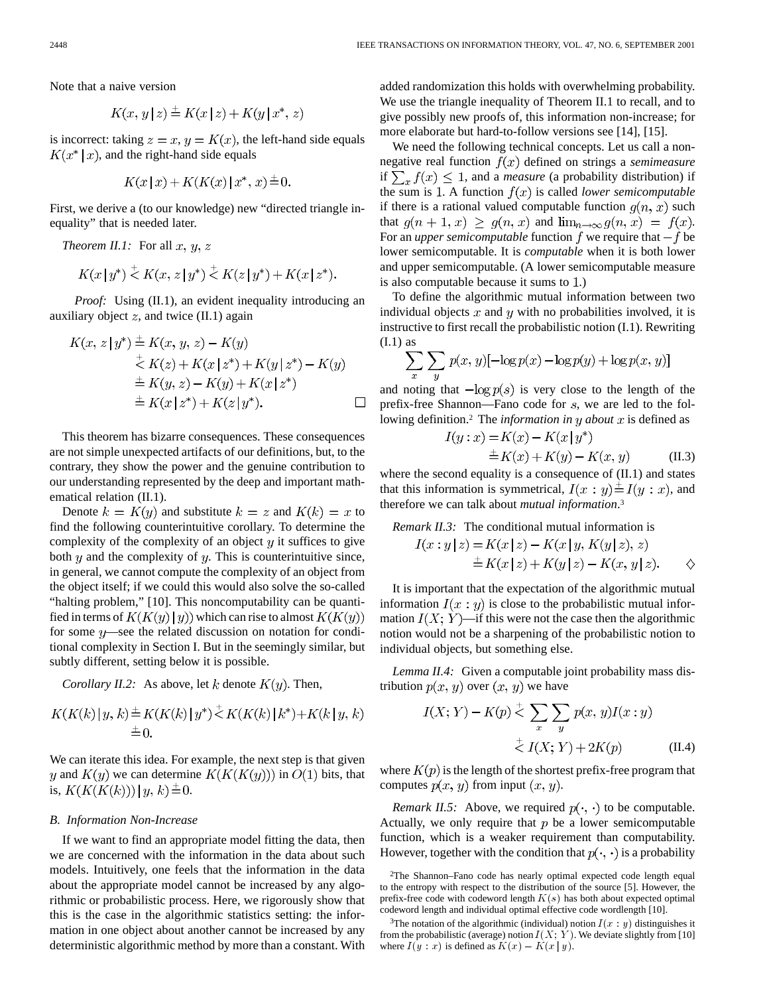$$
K(x, y | z) \stackrel{+}{=} K(x | z) + K(y | x^*, z)
$$

is incorrect: taking  $z = x$ ,  $y = K(x)$ , the left-hand side equals  $K(x^* | x)$ , and the right-hand side equals

$$
K(x \,|\, x) + K(K(x) \,|\, x^*, \, x) \stackrel{+}{=} 0.
$$

First, we derive a (to our knowledge) new "directed triangle inequality" that is needed later.

*Theorem II.1:* For all  $x, y, z$ 

$$
K(x \, | \, y^*) \stackrel{+}{\leq} K(x, \, z \, | \, y^*) \stackrel{+}{\leq} K(z \, | \, y^*) + K(x \, | \, z^*).
$$

*Proof:* Using (II.1), an evident inequality introducing an auxiliary object  $z$ , and twice (II.1) again

$$
K(x, z | y^*) \stackrel{+}{=} K(x, y, z) - K(y)
$$
  
\n
$$
\stackrel{+}{\leq} K(z) + K(x | z^*) + K(y | z^*) - K(y)
$$
  
\n
$$
\stackrel{+}{=} K(y, z) - K(y) + K(x | z^*)
$$
  
\n
$$
\stackrel{+}{=} K(x | z^*) + K(z | y^*).
$$

This theorem has bizarre consequences. These consequences are not simple unexpected artifacts of our definitions, but, to the contrary, they show the power and the genuine contribution to our understanding represented by the deep and important mathematical relation (II.1).

Denote  $k = K(y)$  and substitute  $k = z$  and  $K(k) = x$  to find the following counterintuitive corollary. To determine the complexity of the complexity of an object  $y$  it suffices to give both  $\eta$  and the complexity of  $\eta$ . This is counterintuitive since, in general, we cannot compute the complexity of an object from the object itself; if we could this would also solve the so-called "halting problem," [10]. This noncomputability can be quantified in terms of  $K(K(y)|y)$ ) which can rise to almost  $K(K(y))$ for some  $y$ —see the related discussion on notation for conditional complexity in Section I. But in the seemingly similar, but subtly different, setting below it is possible.

*Corollary II.2:* As above, let k denote  $K(y)$ . Then,

$$
K(K(k) | y, k) \stackrel{+}{=} K(K(k) | y^*) \stackrel{+}{\leq} K(K(k) | k^*) + K(k | y, k) \\
\stackrel{+}{=} 0.
$$

We can iterate this idea. For example, the next step is that given y and  $K(y)$  we can determine  $K(K(K(y)))$  in  $O(1)$  bits, that is,  $K(K(K(k))) \mid y, k \rightrightarrows 0$ .

#### *B. Information Non-Increase*

If we want to find an appropriate model fitting the data, then we are concerned with the information in the data about such models. Intuitively, one feels that the information in the data about the appropriate model cannot be increased by any algorithmic or probabilistic process. Here, we rigorously show that this is the case in the algorithmic statistics setting: the information in one object about another cannot be increased by any deterministic algorithmic method by more than a constant. With added randomization this holds with overwhelming probability. We use the triangle inequality of Theorem II.1 to recall, and to give possibly new proofs of, this information non-increase; for more elaborate but hard-to-follow versions see [14], [15].

We need the following technical concepts. Let us call a nonnegative real function  $f(x)$  defined on strings a *semimeasure* if  $\sum_x f(x) \leq 1$ , and a *measure* (a probability distribution) if the sum is 1. A function  $f(x)$  is called *lower semicomputable* if there is a rational valued computable function  $g(n, x)$  such that  $g(n + 1, x) \ge g(n, x)$  and  $\lim_{n \to \infty} g(n, x) = f(x)$ . For an *upper semicomputable* function  $f$  we require that  $-f$  be lower semicomputable. It is *computable* when it is both lower and upper semicomputable. (A lower semicomputable measure is also computable because it sums to 1.)

To define the algorithmic mutual information between two individual objects  $x$  and  $y$  with no probabilities involved, it is instructive to first recall the probabilistic notion (I.1). Rewriting  $(I.1)$  as

$$
\sum_{x} \sum_{y} p(x, y) [-\log p(x) - \log p(y) + \log p(x, y)]
$$

and noting that  $-\log p(s)$  is very close to the length of the prefix-free Shannon—Fano code for  $s$ , we are led to the following definition.<sup>2</sup> The *information in*  $y$  *about*  $x$  is defined as

$$
I(y:x) = K(x) - K(x | y^*)
$$
  
\n
$$
\pm K(x) + K(y) - K(x, y)
$$
 (II.3)

where the second equality is a consequence of (II.1) and states that this information is symmetrical,  $I(x : y) \stackrel{+}{=} I(y : x)$ , and therefore we can talk about *mutual information*.3

*Remark II.3:* The conditional mutual information is

$$
I(x:y|z) = K(x|z) - K(x|y, K(y|z), z)
$$
  
\n
$$
\pm K(x|z) + K(y|z) - K(x, y|z).
$$

It is important that the expectation of the algorithmic mutual information  $I(x : y)$  is close to the probabilistic mutual information  $I(X; Y)$ —if this were not the case then the algorithmic notion would not be a sharpening of the probabilistic notion to individual objects, but something else.

*Lemma II.4:* Given a computable joint probability mass distribution  $p(x, y)$  over  $(x, y)$  we have

$$
I(X; Y) - K(p) \stackrel{+}{\leq} \sum_{x} \sum_{y} p(x, y) I(x : y)
$$

$$
\stackrel{+}{\leq} I(X; Y) + 2K(p) \tag{II.4}
$$

where  $K(p)$  is the length of the shortest prefix-free program that computes  $p(x, y)$  from input  $(x, y)$ .

*Remark II.5:* Above, we required  $p(\cdot, \cdot)$  to be computable. Actually, we only require that  $p$  be a lower semicomputable function, which is a weaker requirement than computability. However, together with the condition that  $p(\cdot, \cdot)$  is a probability

<sup>2</sup>The Shannon–Fano code has nearly optimal expected code length equal to the entropy with respect to the distribution of the source [5]. However, the prefix-free code with codeword length  $K(s)$  has both about expected optimal codeword length and individual optimal effective code wordlength [10].

<sup>&</sup>lt;sup>3</sup>The notation of the algorithmic (individual) notion  $I(x : y)$  distinguishes it from the probabilistic (average) notion  $I(X; Y)$ . We deviate slightly from [10] codeword length and individual optimal effective<br><sup>3</sup>The notation of the algorithmic (individual) n<br>from the probabilistic (average) notion  $I(X; Y)$ <br>where  $I(y : x)$  is defined as  $K(x) - K(x | y)$ .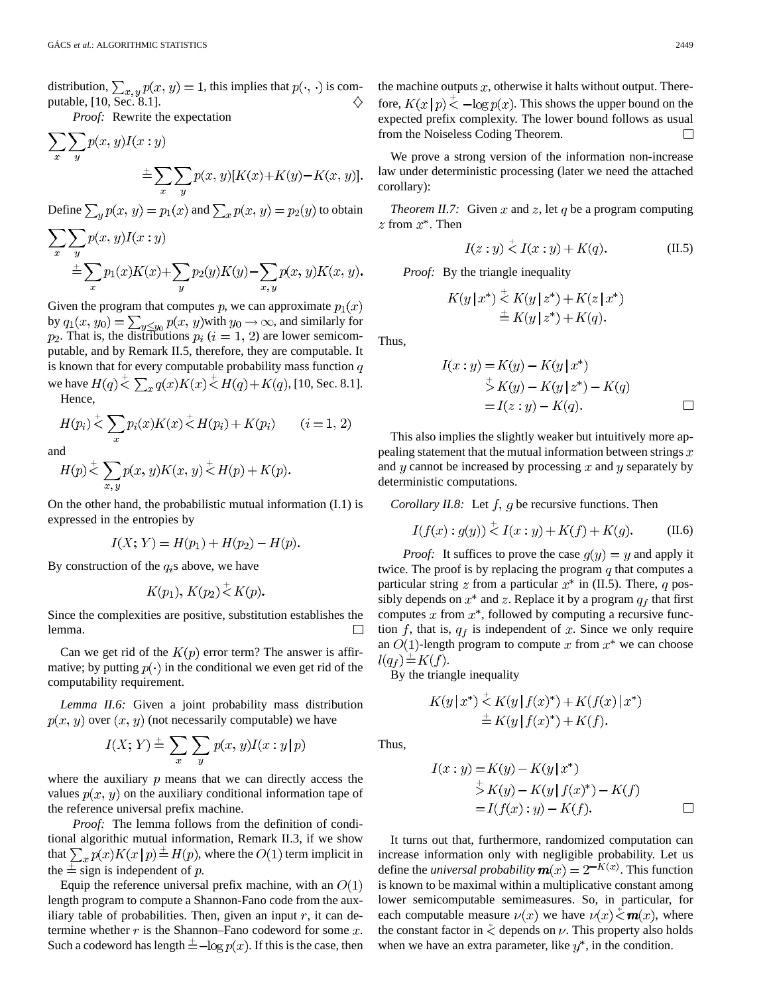distribution,  $\sum_{x,y} p(x,y) = 1$ , this implies that  $p(\cdot, \cdot)$  is computable, [10, Sec. 8.1]. ♦

*Proof:* Rewrite the expectation

$$
\sum_{x} \sum_{y} p(x, y) I(x : y)
$$
  

$$
\pm \sum_{x} \sum_{y} p(x, y) [K(x) + K(y) - K(x, y)].
$$

Define  $\sum_{y} p(x, y) = p_1(x)$  and  $\sum_{x} p(x, y) = p_2(y)$  to obtain

$$
\sum_{x} \sum_{y} p(x, y)I(x : y)
$$
  

$$
\stackrel{+}{=} \sum_{x} p_1(x)K(x) + \sum_{y} p_2(y)K(y) - \sum_{x, y} p(x, y)K(x, y).
$$

Given the program that computes p, we can approximate  $p_1(x)$ by  $q_1(x, y_0) = \sum_{u \leq u_0} p(x, y)$  with  $y_0 \to \infty$ , and similarly for . That is, the distributions  $p_i$   $(i = 1, 2)$  are lower semicomputable, and by Remark II.5, therefore, they are computable. It is known that for every computable probability mass function  $q$ we have  $H(q) \leq \sum_{x} q(x) K(x) \leq H(q) + K(q)$ , [10, Sec. 8.1]. Hence,

$$
H(p_i) \stackrel{+}{\leq} \sum_x p_i(x) K(x) \stackrel{+}{\leq} H(p_i) + K(p_i) \qquad (i = 1, 2)
$$
  
and

an

$$
H(p) \stackrel{+}{\leq} \sum_{x,y} p(x,y) K(x,y) \stackrel{+}{\leq} H(p) + K(p).
$$

On the other hand, the probabilistic mutual information (I.1) is expressed in the entropies by

$$
I(X; Y) = H(p_1) + H(p_2) - H(p).
$$

By construction of the  $q_i$ s above, we have

$$
K(p_1), K(p_2) \overset{+}{\leq} K(p).
$$

Since the complexities are positive, substitution establishes the lemma.

Can we get rid of the  $K(p)$  error term? The answer is affirmative; by putting  $p(\cdot)$  in the conditional we even get rid of the computability requirement.

*Lemma II.6:* Given a joint probability mass distribution  $p(x, y)$  over  $(x, y)$  (not necessarily computable) we have

$$
I(X; Y) \stackrel{+}{=} \sum_{x} \sum_{y} p(x, y) I(x : y | p)
$$

where the auxiliary  $p$  means that we can directly access the values  $p(x, y)$  on the auxiliary conditional information tape of the reference universal prefix machine.

*Proof:* The lemma follows from the definition of conditional algorithic mutual information, Remark II.3, if we show that  $\sum_{x} p(x)K(x|p) \stackrel{+}{=} H(p)$ , where the  $O(1)$  term implicit in the  $\pm$  sign is independent of p.

Equip the reference universal prefix machine, with an  $O(1)$ length program to compute a Shannon-Fano code from the auxiliary table of probabilities. Then, given an input  $r$ , it can determine whether  $r$  is the Shannon–Fano codeword for some  $x$ . Such a codeword has length  $\pm$  -log  $p(x)$ . If this is the case, then the machine outputs  $x$ , otherwise it halts without output. Therefore,  $K(x | p) \le -\log p(x)$ . This shows the upper bound on the expected prefix complexity. The lower bound follows as usual from the Noiseless Coding Theorem. П

We prove a strong version of the information non-increase law under deterministic processing (later we need the attached corollary):

*Theorem II.7:* Given x and z, let q be a program computing  $z$  from  $x^*$ . Then

$$
I(z:y) < I(x:y) + K(q). \tag{II.5}
$$

*Proof:* By the triangle inequality

$$
K(y|x^*) \stackrel{+}{\leq} K(y|z^*) + K(z|x^*)
$$
  

$$
\stackrel{+}{=} K(y|z^*) + K(q).
$$

Thus,

$$
I(x:y) = K(y) - K(y|x^*)
$$
  
\n
$$
\stackrel{+}{\geq} K(y) - K(y|z^*) - K(q)
$$
  
\n
$$
= I(z:y) - K(q).
$$

This also implies the slightly weaker but intuitively more appealing statement that the mutual information between strings  $x$ and  $y$  cannot be increased by processing  $x$  and  $y$  separately by deterministic computations.

*Corollary II.8:* Let  $f$ ,  $g$  be recursive functions. Then

$$
I(f(x) : g(y)) \le I(x : y) + K(f) + K(g). \tag{II.6}
$$

*Proof:* It suffices to prove the case  $g(y) = y$  and apply it twice. The proof is by replacing the program  $q$  that computes a particular string  $z$  from a particular  $x^*$  in (II.5). There,  $q$  possibly depends on  $x^*$  and z. Replace it by a program  $q_f$  that first computes  $x$  from  $x^*$ , followed by computing a recursive function  $f$ , that is,  $q_f$  is independent of  $x$ . Since we only require an  $O(1)$ -length program to compute x from  $x^*$  we can choose  $l(q_f) \equiv K(f).$ 

By the triangle inequality

$$
K(y \mid x^*) \stackrel{+}{\leq} K(y \mid f(x)^*) + K(f(x) \mid x^*)
$$
  

$$
\stackrel{+}{=} K(y \mid f(x)^*) + K(f).
$$

Thus,

$$
I(x:y) = K(y) - K(y | x^*)
$$
  
\n
$$
\Rightarrow K(y) - K(y | f(x)^*) - K(f)
$$
  
\n
$$
= I(f(x): y) - K(f).
$$

It turns out that, furthermore, randomized computation can increase information only with negligible probability. Let us define the *universal probability*  $\mathbf{m}(x) = 2^{-K(x)}$ . This function is known to be maximal within a multiplicative constant among lower semicomputable semimeasures. So, in particular, for each computable measure  $\nu(x)$  we have  $\nu(x) \le m(x)$ , where the constant factor in  $\stackrel{*}{\leq}$  depends on  $\nu$ . This property also holds when we have an extra parameter, like  $y^*$ , in the condition.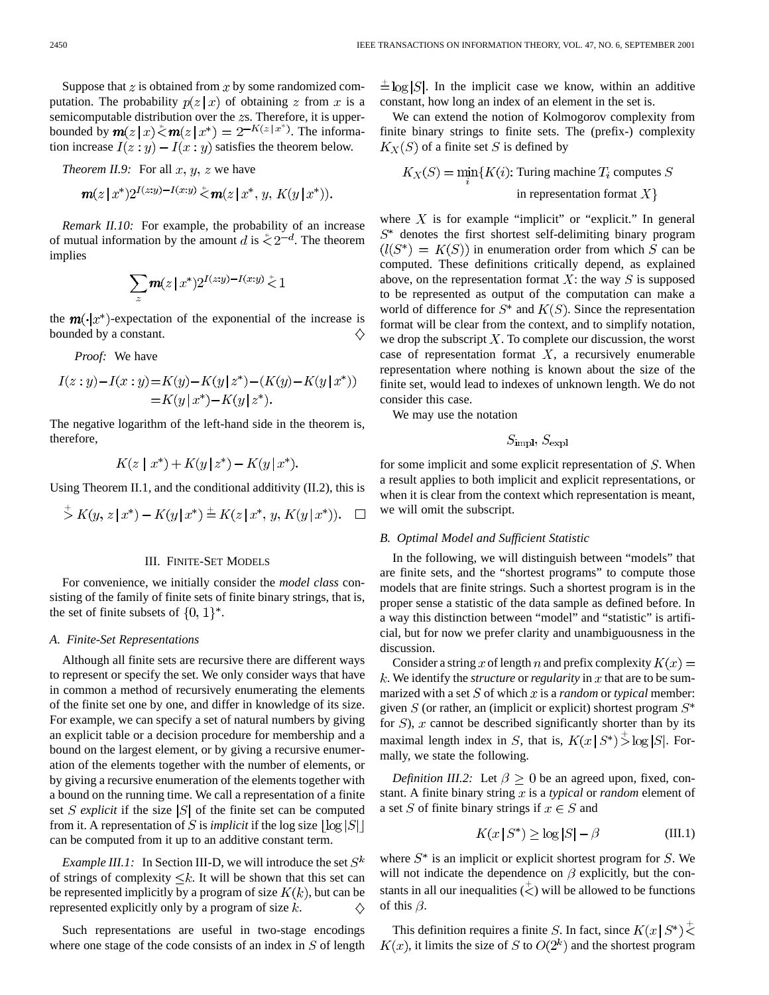Suppose that  $z$  is obtained from  $x$  by some randomized computation. The probability  $p(z|x)$  of obtaining z from x is a semicomputable distribution over the  $zs$ . Therefore, it is upperbounded by  $m(z|x) \stackrel{*}{\leq} m(z|x^*) = 2^{-K(z|x^*)}$ . The information increase  $I(z: y) - I(x: y)$  satisfies the theorem below.

*Theorem II.9:* For all  $x, y, z$  we have

$$
\mathbf{m}(z|x^*)2^{I(z;y)-I(x;y)} \stackrel{<}{<} \mathbf{m}(z|x^*,y,K(y|x^*)).
$$

*Remark II.10:* For example, the probability of an increase of mutual information by the amount d is  $\zeta 2^{-d}$ . The theorem implies

$$
\sum_z \pmb{m}(z\,|\,x^*) 2^{I(z:y)-I(x:y)} \stackrel{{}_\ast}{\leq} 1
$$

the  $m(\cdot|x^*)$ -expectation of the exponential of the increase is bounded by a constant.

*Proof:* We have

$$
I(z:y) - I(x:y) = K(y) - K(y | z^*) - (K(y) - K(y | x^*))
$$
  
= K(y | x^\*) - K(y | z^\*).

The negative logarithm of the left-hand side in the theorem is, therefore,

$$
K(z \mid x^*) + K(y \mid z^*) - K(y \mid x^*)
$$

Using Theorem II.1, and the conditional additivity (II.2), this is

$$
\stackrel{+}{\triangleright} K(y, z | x^*) - K(y | x^*) \stackrel{+}{=} K(z | x^*, y, K(y | x^*)). \quad \square
$$

#### III. FINITE-SET MODELS

For convenience, we initially consider the *model class* consisting of the family of finite sets of finite binary strings, that is, the set of finite subsets of  $\{0, 1\}^*$ .

#### *A. Finite-Set Representations*

Although all finite sets are recursive there are different ways to represent or specify the set. We only consider ways that have in common a method of recursively enumerating the elements of the finite set one by one, and differ in knowledge of its size. For example, we can specify a set of natural numbers by giving an explicit table or a decision procedure for membership and a bound on the largest element, or by giving a recursive enumeration of the elements together with the number of elements, or by giving a recursive enumeration of the elements together with a bound on the running time. We call a representation of a finite set *S* explicit if the size  $|S|$  of the finite set can be computed from it. A representation of S is *implicit* if the log size  $|\log |S|$ can be computed from it up to an additive constant term.

*Example III.1:* In Section III-D, we will introduce the set  $S^k$ of strings of complexity  $\leq k$ . It will be shown that this set can be represented implicitly by a program of size  $K(k)$ , but can be represented explicitly only by a program of size  $k$ .

Such representations are useful in two-stage encodings where one stage of the code consists of an index in  $S$  of length

 $\pm \log |S|$ . In the implicit case we know, within an additive constant, how long an index of an element in the set is.

We can extend the notion of Kolmogorov complexity from finite binary strings to finite sets. The (prefix-) complexity  $K_X(S)$  of a finite set S is defined by

 $K_X(S)=\min_i\{K(i)\mbox{: Turing machine }T_i\mbox{ computes }S$ in representation format  $X$ }

where  $X$  is for example "implicit" or "explicit." In general  $S^*$  denotes the first shortest self-delimiting binary program  $i(l(S^*) = K(S))$  in enumeration order from which S can be computed. These definitions critically depend, as explained above, on the representation format  $X$ : the way  $S$  is supposed to be represented as output of the computation can make a world of difference for  $S^*$  and  $K(S)$ . Since the representation format will be clear from the context, and to simplify notation, we drop the subscript  $X$ . To complete our discussion, the worst case of representation format  $X$ , a recursively enumerable representation where nothing is known about the size of the finite set, would lead to indexes of unknown length. We do not consider this case.

We may use the notation

$$
S_{\mathrm{impl}}, S_{\mathrm{expl}}
$$

for some implicit and some explicit representation of  $S$ . When a result applies to both implicit and explicit representations, or when it is clear from the context which representation is meant, we will omit the subscript.

#### *B. Optimal Model and Sufficient Statistic*

In the following, we will distinguish between "models" that are finite sets, and the "shortest programs" to compute those models that are finite strings. Such a shortest program is in the proper sense a statistic of the data sample as defined before. In a way this distinction between "model" and "statistic" is artificial, but for now we prefer clarity and unambiguousness in the discussion.

Consider a string x of length n and prefix complexity  $K(x) =$  $k$ . We identify the *structure* or *regularity* in  $x$  that are to be summarized with a set  $S$  of which  $x$  is a *random* or *typical* member: given  $S$  (or rather, an (implicit or explicit) shortest program  $S^*$ for  $S$ ), x cannot be described significantly shorter than by its maximal length index in S, that is,  $K(x \mid S^*) \stackrel{+}{>} \log |S|$ . Formally, we state the following.

*Definition III.2:* Let  $\beta \ge 0$  be an agreed upon, fixed, constant. A finite binary string  $x$  is a *typical* or *random* element of a set S of finite binary strings if  $x \in S$  and

$$
K(x \mid S^*) \ge \log|S| - \beta \tag{III.1}
$$

where  $S^*$  is an implicit or explicit shortest program for  $S$ . We will not indicate the dependence on  $\beta$  explicitly, but the constants in all our inequalities  $(\zeta)$  will be allowed to be functions of this  $\beta$ .

This definition requires a finite S. In fact, since  $K(x \mid S^*)$  $K(x)$ , it limits the size of S to  $O(2<sup>k</sup>)$  and the shortest program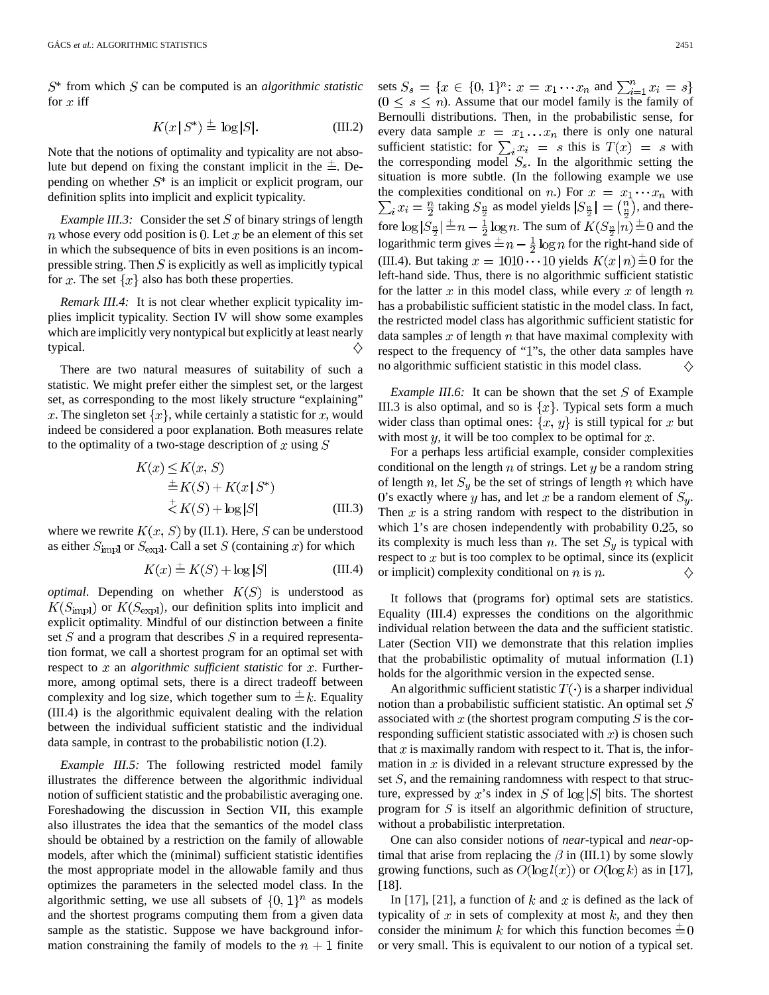$S^*$  from which S can be computed is an *algorithmic statistic* for  $x$  iff

$$
K(x \mid S^*) \stackrel{+}{=} \log |S|. \tag{III.2}
$$

Note that the notions of optimality and typicality are not absolute but depend on fixing the constant implicit in the  $\pm$ . Depending on whether  $S^*$  is an implicit or explicit program, our definition splits into implicit and explicit typicality.

*Example III.3:* Consider the set  $S$  of binary strings of length n whose every odd position is 0. Let  $x$  be an element of this set in which the subsequence of bits in even positions is an incompressible string. Then  $S$  is explicitly as well as implicitly typical for x. The set  $\{x\}$  also has both these properties.

*Remark III.4:* It is not clear whether explicit typicality implies implicit typicality. Section IV will show some examples which are implicitly very nontypical but explicitly at least nearly typical. ♦

There are two natural measures of suitability of such a statistic. We might prefer either the simplest set, or the largest set, as corresponding to the most likely structure "explaining" x. The singleton set  $\{x\}$ , while certainly a statistic for x, would indeed be considered a poor explanation. Both measures relate to the optimality of a two-stage description of x using  $S$ 

$$
K(x) \le K(x, S)
$$
  
\n
$$
\stackrel{\pm}{=} K(S) + K(x \mid S^*)
$$
  
\n
$$
\stackrel{\pm}{\le K(S) + \log |S|}
$$
 (III.3)

where we rewrite  $K(x, S)$  by (II.1). Here, S can be understood as either  $S_{\text{impl}}$  or  $S_{\text{expl}}$ . Call a set S (containing x) for which

$$
K(x) \stackrel{+}{=} K(S) + \log |S| \tag{III.4}
$$

*optimal*. Depending on whether  $K(S)$  is understood as  $K(S<sub>impl</sub>)$  or  $K(S<sub>expl</sub>)$ , our definition splits into implicit and explicit optimality. Mindful of our distinction between a finite set  $S$  and a program that describes  $S$  in a required representation format, we call a shortest program for an optimal set with respect to  $x$  an *algorithmic sufficient statistic* for  $x$ . Furthermore, among optimal sets, there is a direct tradeoff between complexity and log size, which together sum to  $\pm k$ . Equality (III.4) is the algorithmic equivalent dealing with the relation between the individual sufficient statistic and the individual data sample, in contrast to the probabilistic notion (I.2).

*Example III.5:* The following restricted model family illustrates the difference between the algorithmic individual notion of sufficient statistic and the probabilistic averaging one. Foreshadowing the discussion in Section VII, this example also illustrates the idea that the semantics of the model class should be obtained by a restriction on the family of allowable models, after which the (minimal) sufficient statistic identifies the most appropriate model in the allowable family and thus optimizes the parameters in the selected model class. In the algorithmic setting, we use all subsets of  $\{0, 1\}^n$  as models and the shortest programs computing them from a given data sample as the statistic. Suppose we have background information constraining the family of models to the  $n + 1$  finite

sets  $S_s = \{x \in \{0, 1\}^n : x = x_1 \cdots x_n \text{ and }$  $(0 \leq s \leq n)$ . Assume that our model family is the family of Bernoulli distributions. Then, in the probabilistic sense, for every data sample  $x = x_1 \dots x_n$  there is only one natural sufficient statistic: for  $\sum_i x_i = s$  this is  $T(x) = s$  with the corresponding model  $S_8$ . In the algorithmic setting the situation is more subtle. (In the following example we use the complexities conditional on n.) For  $x = x_1 \cdots x_n$  with  $\sum_i x_i = \frac{n}{2}$  taking  $S_{\frac{n}{2}}$  as model yields  $|S_{\frac{n}{2}}| = \binom{n}{\frac{n}{2}}$ , and therefore  $\log |S_{\frac{n}{2}}| \stackrel{+}{=} n - \frac{1}{2} \log n$ . The sum of  $K(S_{\frac{n}{2}}|n) \stackrel{+}{=} 0$  and the logarithmic term gives  $\pm n - \frac{1}{2} \log n$  for the right-hand side of (III.4). But taking  $x = 1010 \cdots 10$  yields  $K(x \mid n) \stackrel{+}{=} 0$  for the left-hand side. Thus, there is no algorithmic sufficient statistic for the latter  $x$  in this model class, while every  $x$  of length  $n$ has a probabilistic sufficient statistic in the model class. In fact, the restricted model class has algorithmic sufficient statistic for data samples  $x$  of length  $n$  that have maximal complexity with respect to the frequency of "1"s, the other data samples have no algorithmic sufficient statistic in this model class. ♦

*Example III.6:* It can be shown that the set  $S$  of Example III.3 is also optimal, and so is  $\{x\}$ . Typical sets form a much wider class than optimal ones:  $\{x, y\}$  is still typical for x but with most  $y$ , it will be too complex to be optimal for  $x$ .

For a perhaps less artificial example, consider complexities conditional on the length  $n$  of strings. Let  $y$  be a random string of length n, let  $S_y$  be the set of strings of length n which have 0's exactly where y has, and let x be a random element of  $S_y$ . Then  $x$  is a string random with respect to the distribution in which  $1$ 's are chosen independently with probability  $0.25$ , so its complexity is much less than n. The set  $S_u$  is typical with respect to  $x$  but is too complex to be optimal, since its (explicit or implicit) complexity conditional on  $n$  is  $n$ .

It follows that (programs for) optimal sets are statistics. Equality (III.4) expresses the conditions on the algorithmic individual relation between the data and the sufficient statistic. Later (Section VII) we demonstrate that this relation implies that the probabilistic optimality of mutual information (I.1) holds for the algorithmic version in the expected sense.

An algorithmic sufficient statistic  $T(\cdot)$  is a sharper individual notion than a probabilistic sufficient statistic. An optimal set  $S$ associated with  $x$  (the shortest program computing  $S$  is the corresponding sufficient statistic associated with  $x$ ) is chosen such that x is maximally random with respect to it. That is, the information in  $x$  is divided in a relevant structure expressed by the set  $S$ , and the remaining randomness with respect to that structure, expressed by x's index in S of  $\log |S|$  bits. The shortest program for  $S$  is itself an algorithmic definition of structure, without a probabilistic interpretation.

One can also consider notions of *near*-typical and *near*-optimal that arise from replacing the  $\beta$  in (III.1) by some slowly growing functions, such as  $O(\log l(x))$  or  $O(\log k)$  as in [17], [18].

In [17], [21], a function of k and x is defined as the lack of typicality of  $x$  in sets of complexity at most  $k$ , and they then consider the minimum k for which this function becomes  $\pm 0$ or very small. This is equivalent to our notion of a typical set.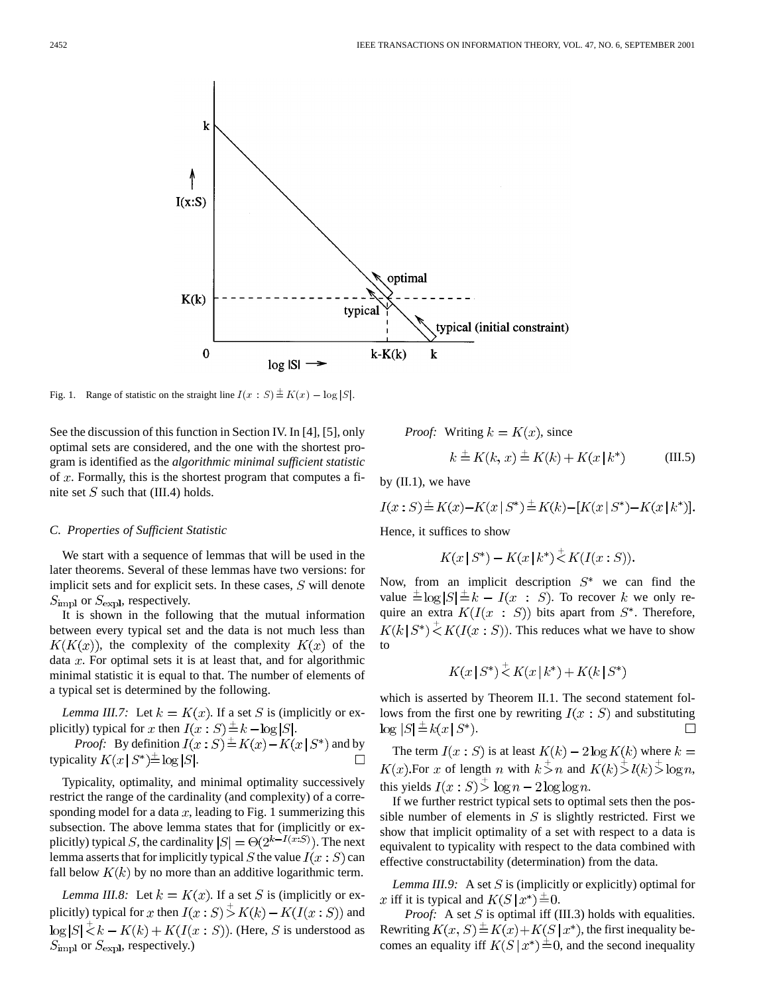

See the discussion of this function in Section IV. In [4], [5], only optimal sets are considered, and the one with the shortest program is identified as the *algorithmic minimal sufficient statistic* of  $x$ . Formally, this is the shortest program that computes a finite set  $S$  such that (III.4) holds.

#### *C. Properties of Sufficient Statistic*

We start with a sequence of lemmas that will be used in the later theorems. Several of these lemmas have two versions: for implicit sets and for explicit sets. In these cases,  $S$  will denote  $S_{\text{impl}}$  or  $S_{\text{expl}}$ , respectively.

It is shown in the following that the mutual information between every typical set and the data is not much less than  $K(K(x))$ , the complexity of the complexity  $K(x)$  of the data  $x$ . For optimal sets it is at least that, and for algorithmic minimal statistic it is equal to that. The number of elements of a typical set is determined by the following.

*Lemma III.7:* Let  $k = K(x)$ . If a set S is (implicitly or explicitly) typical for x then  $I(x : S) \stackrel{+}{=} k - \log |S|$ .

*Proof:* By definition  $I(x : S) \stackrel{+}{=} K(x) - K(x | S^*)$  and by typicality  $K(x \mid S^*) \stackrel{\perp}{=} \log |S|$ .

Typicality, optimality, and minimal optimality successively restrict the range of the cardinality (and complexity) of a corresponding model for a data  $x$ , leading to Fig. 1 summerizing this subsection. The above lemma states that for (implicitly or explicitly) typical S, the cardinality  $|S| = \Theta(2^{k-I(x:S)})$ . The next lemma asserts that for implicitly typical S the value  $I(x : S)$  can fall below  $K(k)$  by no more than an additive logarithmic term.

*Lemma III.8:* Let  $k = K(x)$ . If a set S is (implicitly or explicitly) typical for x then  $I(x : S)$   $\stackrel{+}{>}$   $K(k) - K(I(x : S))$  and  $\log |S| \le k - K(k) + K(I(x : S))$ . (Here, S is understood as  $S_{\text{impl}}$  or  $S_{\text{expl}}$ , respectively.)

*Proof:* Writing 
$$
k = K(x)
$$
, since  

$$
k \stackrel{+}{=} K(k, x) \stackrel{+}{=} K(k) + K(x | k^*)
$$
(III.5)

by (II.1), we have

$$
I(x: S) \stackrel{+}{=} K(x) - K(x \mid S^*) \stackrel{+}{=} K(k) - [K(x \mid S^*) - K(x \mid k^*)].
$$

Hence, it suffices to show

$$
K(x \, | \, S^*) - K(x \, | \, k^*) \stackrel{+}{\leq} K(I(x:S)).
$$

Now, from an implicit description  $S^*$  we can find the value  $\pm \log |S| \pm k - I(x : S)$ . To recover k we only require an extra  $K(I(x : S))$  bits apart from  $S^*$ . Therefore,  $K(k|S^*) \stackrel{+}{\leq} K(I(x:S))$ . This reduces what we have to show to

$$
K(x \mid S^*) \stackrel{+}{\leq} K(x \mid k^*) + K(k \mid S^*)
$$

which is asserted by Theorem II.1. The second statement follows from the first one by rewriting  $I(x : S)$  and substituting  $\log |S| \stackrel{+}{=} k(x | S^*).$ П

The term  $I(x : S)$  is at least  $K(k) - 2\log K(k)$  where  $k =$  $K(x)$ . For x of length n with  $k > n$  and  $K(k) > l(k) > \log n$ , this yields  $I(x : S) \stackrel{+}{>} \log n - 2 \log \log n$ .

If we further restrict typical sets to optimal sets then the possible number of elements in  $S$  is slightly restricted. First we show that implicit optimality of a set with respect to a data is equivalent to typicality with respect to the data combined with effective constructability (determination) from the data.

*Lemma III.9:* A set  $S$  is (implicitly or explicitly) optimal for x iff it is typical and  $K(S | x^*) \stackrel{\pm}{=} 0$ .

*Proof:* A set S is optimal iff (III.3) holds with equalities. Rewriting  $K(x, S) \stackrel{+}{=} K(x) + K(S | x^*)$ , the first inequality becomes an equality iff  $K(S | x^*) \stackrel{+}{=} 0$ , and the second inequality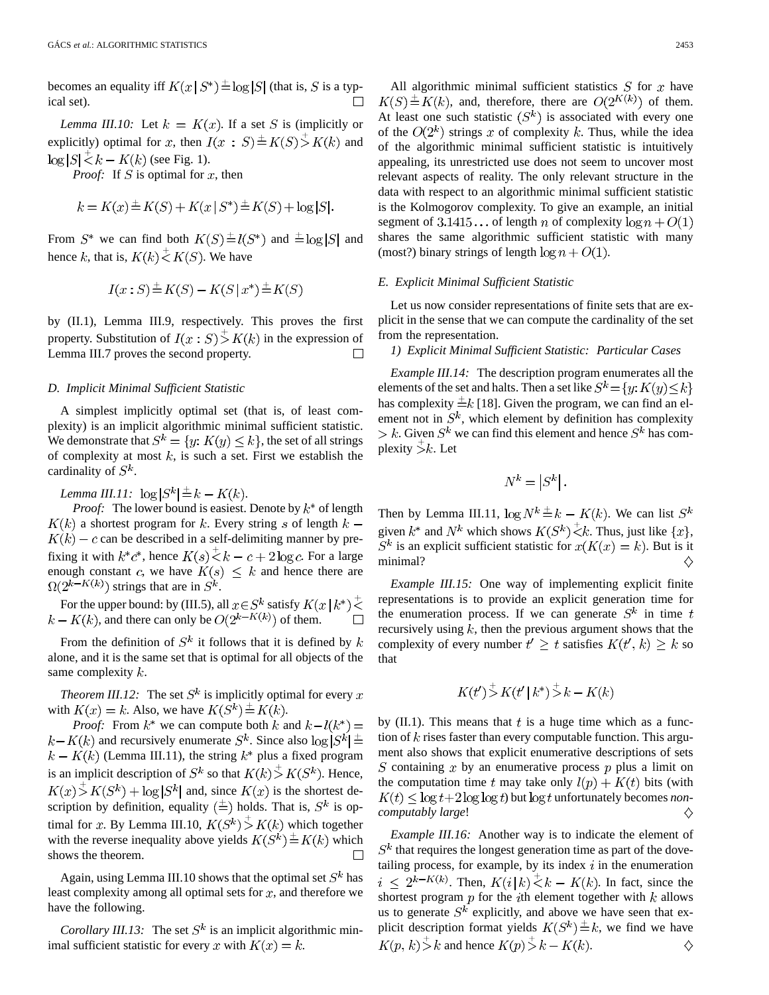becomes an equality iff  $K(x \mid S^*) \stackrel{+}{=} \log |S|$  (that is, S is a typical set).

*Lemma III.10:* Let  $k = K(x)$ . If a set S is (implicitly or explicitly) optimal for x, then  $I(x : S) \stackrel{+}{=} K(S) \stackrel{+}{>} K(k)$  and  $\log |S| \le k - K(k)$  (see Fig. 1).

*Proof:* If S is optimal for x, then

$$
k = K(x) \pm K(S) + K(x | S^*) \pm K(S) + \log |S|.
$$

From  $S^*$  we can find both  $K(S) \stackrel{+}{=} l(S^*)$  and  $\stackrel{+}{=} \log |S|$  and hence k, that is,  $K(k) \stackrel{+}{\leq} K(S)$ . We have

$$
I(x:S) \stackrel{+}{=} K(S) - K(S \mid x^*) \stackrel{+}{=} K(S)
$$

by (II.1), Lemma III.9, respectively. This proves the first property. Substitution of  $I(x : S) > K(k)$  in the expression of Lemma III.7 proves the second property.  $\Box$ 

#### *D. Implicit Minimal Sufficient Statistic*

A simplest implicitly optimal set (that is, of least complexity) is an implicit algorithmic minimal sufficient statistic. We demonstrate that  $S^k = \{y: K(y) \le k\}$ , the set of all strings of complexity at most  $k$ , is such a set. First we establish the cardinality of  $S^k$ .

*Lemma III.11:*  $\log |S^k| \stackrel{+}{=} k - K(k)$ .

*Proof:* The lower bound is easiest. Denote by  $k^*$  of length  $K(k)$  a shortest program for k. Every string s of length  $k K(k) - c$  can be described in a self-delimiting manner by prefixing it with  $k^*c^*$ , hence  $K(s)\overline{\xi}k-c+2\log c$ . For a large enough constant c, we have  $K(s) \leq k$  and hence there are  $\Omega(2^{k-K(k)})$  strings that are in  $S^k$ .

For the upper bound: by (III.5), all  $x \in S^k$  satisfy  $K(x \mid k^*)^{\perp}$  $k - K(k)$ , and there can only be  $O(2^{k - K(k)})$  of them.  $\Box$ 

From the definition of  $S^k$  it follows that it is defined by k alone, and it is the same set that is optimal for all objects of the same complexity  $k$ .

*Theorem III.12:* The set  $S^k$  is implicitly optimal for every x with  $K(x) = k$ . Also, we have  $K(S^k) \stackrel{+}{=} K(k)$ .

*Proof:* From  $k^*$  we can compute both k and  $k-l(k^*)=$  $k - K(k)$  and recursively enumerate  $S^k$ . Since also  $\log |S^k|$   $\triangleq$  $k - K(k)$  (Lemma III.11), the string  $k^*$  plus a fixed program is an implicit description of  $S^k$  so that  $K(k) \stackrel{+}{>} K(S^k)$ . Hence,  $K(x)$   $\geq K(S^k) + \log |S^k|$  and, since  $K(x)$  is the shortest description by definition, equality  $(\pm)$  holds. That is,  $S^k$  is optimal for x. By Lemma III.10,  $K(S^k) > K(k)$  which together with the reverse inequality above yields  $K(S^k) \stackrel{+}{=} K(k)$  which shows the theorem.

Again, using Lemma III.10 shows that the optimal set  $S^k$  has least complexity among all optimal sets for  $x$ , and therefore we have the following.

*Corollary III.13:* The set  $S^k$  is an implicit algorithmic minimal sufficient statistic for every x with  $K(x) = k$ .

All algorithmic minimal sufficient statistics  $S$  for  $x$  have  $K(S) \triangleq K(k)$ , and, therefore, there are  $O(2^{K(k)})$  of them. At least one such statistic  $(S<sup>k</sup>)$  is associated with every one of the  $O(2^k)$  strings x of complexity k. Thus, while the idea of the algorithmic minimal sufficient statistic is intuitively appealing, its unrestricted use does not seem to uncover most relevant aspects of reality. The only relevant structure in the data with respect to an algorithmic minimal sufficient statistic is the Kolmogorov complexity. To give an example, an initial segment of 3.1415... of length n of complexity  $\log n + O(1)$ shares the same algorithmic sufficient statistic with many (most?) binary strings of length  $\log n + O(1)$ .

#### *E. Explicit Minimal Sufficient Statistic*

Let us now consider representations of finite sets that are explicit in the sense that we can compute the cardinality of the set from the representation.

*1) Explicit Minimal Sufficient Statistic: Particular Cases*

*Example III.14:* The description program enumerates all the elements of the set and halts. Then a set like  $S^k = \{y: K(y) \le k\}$ has complexity  $\pm k$  [18]. Given the program, we can find an element not in  $S^k$ , which element by definition has complexity  $\geq k$ . Given  $S^k$  we can find this element and hence  $S^k$  has complexity  $\bar{z}$ . Let

$$
N^k=\left|S^k\right|.
$$

Then by Lemma III.11,  $\log N^k \stackrel{+}{=} k - K(k)$ . We can list  $S^k$ given  $k^*$  and  $N^k$  which shows  $K(S^k) \stackrel{+}{\leq} k$ . Thus, just like  $\{x\}$ ,  $S^k$  is an explicit sufficient statistic for  $x(K(x) = k)$ . But is it minimal? ♦

*Example III.15:* One way of implementing explicit finite representations is to provide an explicit generation time for the enumeration process. If we can generate  $S^k$  in time t recursively using  $k$ , then the previous argument shows that the complexity of every number  $t' \geq t$  satisfies  $K(t', k) \geq k$  so that

$$
K(t') \stackrel{+}{>} K(t' | k^*) \stackrel{+}{>} k - K(k)
$$

by  $(II.1)$ . This means that t is a huge time which as a function of  $k$  rises faster than every computable function. This argument also shows that explicit enumerative descriptions of sets S containing  $x$  by an enumerative process  $p$  plus a limit on the computation time t may take only  $l(p) + K(t)$  bits (with  $K(t) \leq \log t + 2 \log \log t$  but  $\log t$  unfortunately becomes *noncomputably large*! ♦

*Example III.16:* Another way is to indicate the element of  $S<sup>k</sup>$  that requires the longest generation time as part of the dovetailing process, for example, by its index  $i$  in the enumeration  $i \leq 2^{k-K(k)}$ . Then,  $K(i|k) \stackrel{+}{\leq} k - K(k)$ . In fact, since the shortest program  $p$  for the *i*th element together with  $k$  allows us to generate  $S^k$  explicitly, and above we have seen that explicit description format yields  $K(S^k) \stackrel{+}{=} k$ , we find we have  $K(p, k) > k$  and hence  $K(p) > k - K(k)$ . ♦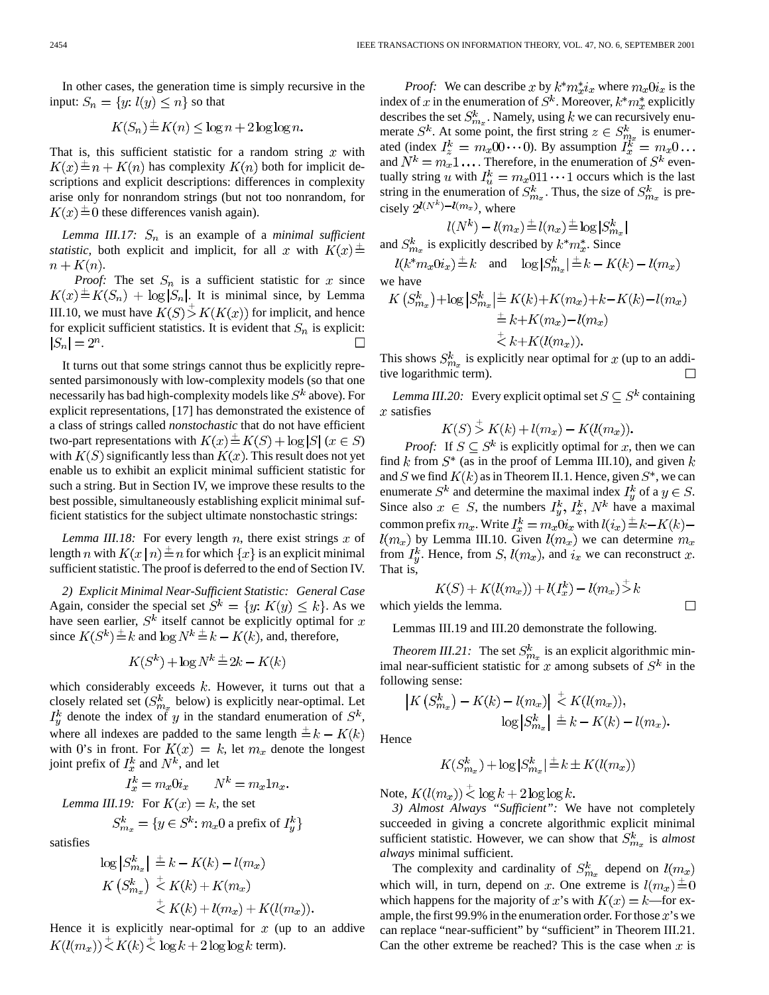In other cases, the generation time is simply recursive in the input:  $S_n = \{y: l(y) \leq n\}$  so that

$$
K(S_n) \stackrel{+}{=} K(n) \le \log n + 2 \log \log n.
$$

That is, this sufficient statistic for a random string  $x$  with  $K(x) \triangleq n + K(n)$  has complexity  $K(n)$  both for implicit descriptions and explicit descriptions: differences in complexity arise only for nonrandom strings (but not too nonrandom, for  $K(x) \triangleq 0$  these differences vanish again).

*Lemma III.17:*  $S_n$  is an example of a *minimal sufficient statistic*, both explicit and implicit, for all x with  $K(x) \pm$  $n + K(n)$ .

*Proof:* The set  $S_n$  is a sufficient statistic for x since  $K(x) \triangleq K(S_n) + \log |S_n|$ . It is minimal since, by Lemma III.10, we must have  $K(S) > K(K(x))$  for implicit, and hence for explicit sufficient statistics. It is evident that  $S_n$  is explicit:  $|S_n| = 2^n$ .  $\Box$ 

It turns out that some strings cannot thus be explicitly represented parsimonously with low-complexity models (so that one necessarily has bad high-complexity models like  $S^k$  above). For explicit representations, [17] has demonstrated the existence of a class of strings called *nonstochastic* that do not have efficient two-part representations with  $K(x) \stackrel{+}{=} K(S) + \log |S|$   $(x \in S)$ with  $K(S)$  significantly less than  $K(x)$ . This result does not yet enable us to exhibit an explicit minimal sufficient statistic for such a string. But in Section IV, we improve these results to the best possible, simultaneously establishing explicit minimal sufficient statistics for the subject ultimate nonstochastic strings:

*Lemma III.18:* For every length  $n$ , there exist strings  $x$  of length n with  $K(x | n) \pm n$  for which  $\{x\}$  is an explicit minimal sufficient statistic. The proof is deferred to the end of Section IV.

*2) Explicit Minimal Near-Sufficient Statistic: General Case* Again, consider the special set  $S^k = \{y: K(y) \leq k\}$ . As we have seen earlier,  $S^k$  itself cannot be explicitly optimal for x since  $K(S^k) \stackrel{+}{=} k$  and  $\log N^k \stackrel{+}{=} k - K(k)$ , and, therefore,

$$
K(S^k) + \log N^k \stackrel{+}{=} 2k - K(k)
$$

which considerably exceeds  $k$ . However, it turns out that a closely related set ( $S_{m_x}^k$  below) is explicitly near-optimal. Let  $I_y^k$  denote the index of y in the standard enumeration of  $S^k$ , where all indexes are padded to the same length  $\stackrel{+}{=} k - K(k)$ with 0's in front. For  $K(x) = k$ , let  $m_x$  denote the longest joint prefix of  $I_x^k$  and  $N^k$ , and let

$$
I_x^k = m_x 0 i_x \qquad N^k = m_x 1 n_x.
$$
  
Lemma III.19: For  $K(x) = k$ , the set

 $S_{m_x}^k = \{y \in S^k : m_x 0 \text{ a prefix of } I_y^k\}$ 

satisfies

$$
\log \left| S_{m_x}^k \right| \stackrel{+}{=} k - K(k) - l(m_x)
$$
  

$$
K\left( S_{m_x}^k \right) \stackrel{+}{\leq} K(k) + K(m_x)
$$
  

$$
\stackrel{+}{\leq} K(k) + l(m_x) + K(l(m_x)).
$$

Hence it is explicitly near-optimal for  $x$  (up to an addive  $K(l(m_x)) \leq K(k) \leq \log k + 2 \log \log k$  term).

*Proof:* We can describe x by  $k^* m_x^* i_x$  where  $m_x 0 i_x$  is the index of x in the enumeration of  $S^k$ . Moreover,  $k^*m_x^*$  explicitly describes the set  $S_{m_x}^k$ . Namely, using k we can recursively enumerate  $S^k$ . At some point, the first string  $z \in S^k_{m_x}$  is enumerated (index  $I_z^k = m_x 00 \cdots 0$ ). By assumption and  $N^k = m_x 1 \dots$ . Therefore, in the enumeration of  $S^k$  eventually string u with  $I_u^k = m_x 011 \cdots 1$  occurs which is the last string in the enumeration of  $S_{m_x}^k$ . Thus, the size of  $S_{m_x}^k$  is precisely  $2^{l(N^k)-l(m_x)}$ , where

$$
l(N^k) - l(m_x) \pm l(n_x) \pm \log |S^k_{m_x}|
$$
  
and  $S^k_{m_x}$  is explicitly described by  $k^* m_x^*$ . Since  

$$
l(k^* m_x 0 i_x) \pm k \text{ and } \log |S^k_{m_x}| \pm k - K(k) - l(m_x)
$$

we have

$$
K\left(S_{m_x}^k\right) + \log \left|S_{m_x}^k\right| \stackrel{+}{=} K(k) + K(m_x) + k - K(k) - l(m_x)
$$
  

$$
\stackrel{+}{=} k + K(m_x) - l(m_x)
$$
  

$$
\stackrel{+}{\leq} k + K(l(m_x)).
$$

This shows  $S_{m_x}^k$  is explicitly near optimal for x (up to an additive logarithmic term).  $\Box$ 

*Lemma III.20:* Every explicit optimal set  $S \subseteq S^k$  containing  $x$  satisfies

$$
K(S) > K(k) + l(m_x) - K(l(m_x)).
$$

*Proof:* If  $S \subseteq S^k$  is explicitly optimal for x, then we can find k from  $S^*$  (as in the proof of Lemma III.10), and given k and S we find  $K(k)$  as in Theorem II.1. Hence, given  $S^*$ , we can enumerate  $S^k$  and determine the maximal index  $I_u^k$  of a  $y \in S$ . Since also  $x \in S$ , the numbers  $I_y^k$ ,  $I_x^k$ ,  $N^k$  have a maximal common prefix  $m_x$ . Write  $I_x^k = m_x 0 i_x$  with  $l(i_x) \stackrel{+}{=} k - K(k)$  $l(m_x)$  by Lemma III.10. Given  $l(m_x)$  we can determine  $m_x$ from  $I_y^k$ . Hence, from  $S, l(m_x)$ , and  $i_x$  we can reconstruct x. That is,

$$
K(S) + K(l(m_x)) + l(I_x^k) - l(m_x) \stackrel{<}{>} k
$$

 $\Box$ 

which yields the lemma.

Lemmas III.19 and III.20 demonstrate the following.

*Theorem III.21:* The set  $S_{m_x}^k$  is an explicit algorithmic minimal near-sufficient statistic for x among subsets of  $S^k$  in the following sense:

$$
\begin{aligned} \left| K\left(S_{m_x}^k\right) - K(k) - l(m_x) \right| & \stackrel{+}{\leq} K(l(m_x)),\\ \log \left| S_{m_x}^k \right| & \stackrel{+}{=} k - K(k) - l(m_x). \end{aligned}
$$

Hence

$$
K(S_{m_x}^k) + \log |S_{m_x}^k| \stackrel{+}{=} k \pm K(l(m_x))
$$

Note,  $K(l(m_x)) \leq \log k + 2 \log \log k$ .

*3) Almost Always "Sufficient":* We have not completely succeeded in giving a concrete algorithmic explicit minimal sufficient statistic. However, we can show that  $S_{m_x}^k$  is *almost always* minimal sufficient.

The complexity and cardinality of  $S_{m_x}^k$  depend on  $l(m_x)$ which will, in turn, depend on x. One extreme is  $l(m_x) \stackrel{+}{=} 0$ which happens for the majority of x's with  $K(x) = k$ —for example, the first 99.9% in the enumeration order. For those  $x$ 's we can replace "near-sufficient" by "sufficient" in Theorem III.21. Can the other extreme be reached? This is the case when  $x$  is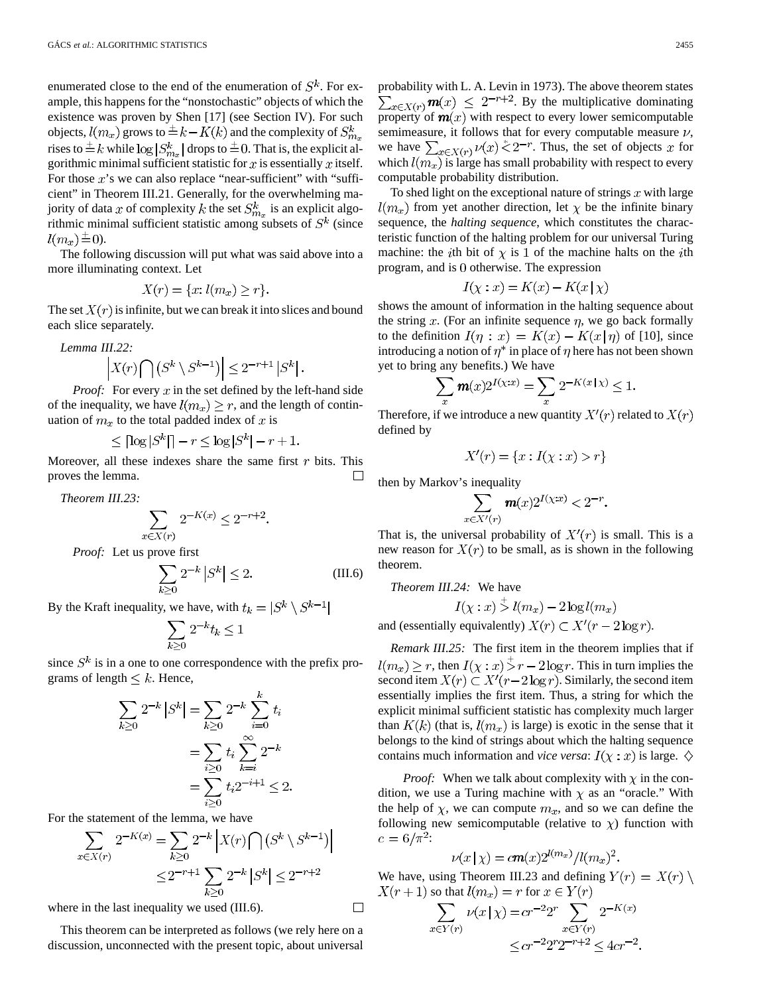enumerated close to the end of the enumeration of  $S^k$ . For example, this happens for the "nonstochastic" objects of which the existence was proven by Shen [17] (see Section IV). For such objects,  $l(m_x)$  grows to  $\pm k - K(k)$  and the complexity of  $S_{m_x}^k$ rises to  $\pm k$  while  $\log |S_{m_x}^k|$  drops to  $\pm 0$ . That is, the explicit algorithmic minimal sufficient statistic for  $x$  is essentially  $x$  itself. For those  $x$ 's we can also replace "near-sufficient" with "sufficient" in Theorem III.21. Generally, for the overwhelming majority of data x of complexity k the set  $S_{m_x}^k$  is an explicit algorithmic minimal sufficient statistic among subsets of  $S<sup>k</sup>$  (since  $l(m_x) \equiv 0$ ).

The following discussion will put what was said above into a more illuminating context. Let

$$
X(r) = \{x: l(m_x) \ge r\}.
$$

The set  $X(r)$  is infinite, but we can break it into slices and bound each slice separately.

*Lemma III.22:*

$$
\left| X(r) \bigcap \left( S^k \setminus S^{k-1} \right) \right| \leq 2^{-r+1} \left| S^k \right|.
$$

*Proof:* For every x in the set defined by the left-hand side of the inequality, we have  $l(m_x) \ge r$ , and the length of continuation of  $m_x$  to the total padded index of x is

$$
\leq \lceil \log |S^k| \rceil - r \leq \log |S^k| - r + 1.
$$

Moreover, all these indexes share the same first  $r$  bits. This proves the lemma.  $\Box$ 

*Theorem III.23:*

$$
\sum_{x \in X(r)} 2^{-K(x)} \le 2^{-r+2}.
$$

*Proof:* Let us prove first

$$
\sum_{k\geq 0} 2^{-k} |S^k| \leq 2. \tag{III.6}
$$

By the Kraft inequality, we have, with  $t_k = |S^k \setminus S^{k-1}|$ 

$$
\sum_{k\geq 0} 2^{-k} t_k \leq 1
$$

since  $S^k$  is in a one to one correspondence with the prefix programs of length  $\leq k$ . Hence,

$$
\sum_{k\geq 0} 2^{-k} |S^k| = \sum_{k\geq 0} 2^{-k} \sum_{i=0}^{\kappa} t_i
$$

$$
= \sum_{i\geq 0} t_i \sum_{k=i}^{\infty} 2^{-k}
$$

$$
= \sum_{i\geq 0} t_i 2^{-i+1} \leq 2.
$$

For the statement of the lemma, we have

$$
\sum_{x \in X(r)} 2^{-K(x)} = \sum_{k \ge 0} 2^{-k} |X(r) \cap (S^k \setminus S^{k-1})|
$$
  

$$
\le 2^{-r+1} \sum_{k \ge 0} 2^{-k} |S^k| \le 2^{-r+2}
$$

where in the last inequality we used (III.6).

This theorem can be interpreted as follows (we rely here on a discussion, unconnected with the present topic, about universal

probability with L. A. Levin in 1973). The above theorem states  $\sum_{x \in X(r)} m(x) \leq 2^{-r+2}$ . By the multiplicative dominating property of  $m(x)$  with respect to every lower semicomputable semimeasure, it follows that for every computable measure  $\nu$ , we have  $\sum_{x \in X(r)} \nu(x) \zeta(2^{-r})$ . Thus, the set of objects x for which  $l(m_x)$  is large has small probability with respect to every computable probability distribution.

To shed light on the exceptional nature of strings  $x$  with large  $l(m_x)$  from yet another direction, let  $\chi$  be the infinite binary sequence, the *halting sequence*, which constitutes the characteristic function of the halting problem for our universal Turing machine: the *i*th bit of  $\chi$  is 1 of the machine halts on the *i*th program, and is 0 otherwise. The expression

$$
I(\chi : x) = K(x) - K(x | \chi)
$$

shows the amount of information in the halting sequence about the string x. (For an infinite sequence  $\eta$ , we go back formally to the definition  $I(\eta : x) = K(x) - K(x|\eta)$  of [10], since introducing a notion of  $\eta^*$  in place of  $\eta$  here has not been shown yet to bring any benefits.) We have

$$
\sum_x \textbf{\textit{m}}(x) 2^{I(\chi;x)} = \sum_x 2^{-K(x\,|\,\chi)} \leq 1.
$$

Therefore, if we introduce a new quantity  $X'(r)$  related to  $X(r)$ defined by

$$
X'(r) = \{x : I(\chi : x) > r\}
$$

then by Markov's inequality

$$
\sum_{x \in X'(r)} \mathbf{m}(x) 2^{I(x;x)} < 2^{-r}.
$$

That is, the universal probability of  $X'(r)$  is small. This is a new reason for  $X(r)$  to be small, as is shown in the following theorem.

*Theorem III.24:* We have

$$
I(\chi : x) > l(m_x) - 2\log l(m_x)
$$

and (essentially equivalently)  $X(r) \subset X'(r-2\log r)$ .

*Remark III.25:* The first item in the theorem implies that if  $l(m_x) \ge r$ , then  $I(\chi : x) > r - 2 \log r$ . This in turn implies the second item  $X(r) \subset X'(r-2\log r)$ . Similarly, the second item essentially implies the first item. Thus, a string for which the explicit minimal sufficient statistic has complexity much larger than  $K(k)$  (that is,  $l(m_x)$  is large) is exotic in the sense that it belongs to the kind of strings about which the halting sequence contains much information and *vice versa*:  $I(\chi : x)$  is large.  $\diamondsuit$ 

*Proof:* When we talk about complexity with  $\chi$  in the condition, we use a Turing machine with  $\chi$  as an "oracle." With the help of  $\chi$ , we can compute  $m_x$ , and so we can define the following new semicomputable (relative to  $\chi$ ) function with  $c = 6/\pi^2$ :

$$
\nu(x \mid \chi) = c \mathbf{m}(x) 2^{l(m_x)} / l(m_x)^2.
$$

We have, using Theorem III.23 and defining  $Y(r) = X(r) \setminus$  $X(r+1)$  so that  $l(m_x) = r$  for  $x \in Y(r)$ 

$$
\sum_{x \in Y(r)} \nu(x \mid \chi) = cr^{-2}2^r \sum_{x \in Y(r)} 2^{-K(x)}
$$
  

$$
\le cr^{-2}2^r 2^{-r+2} \le 4cr^{-2}.
$$

 $\Box$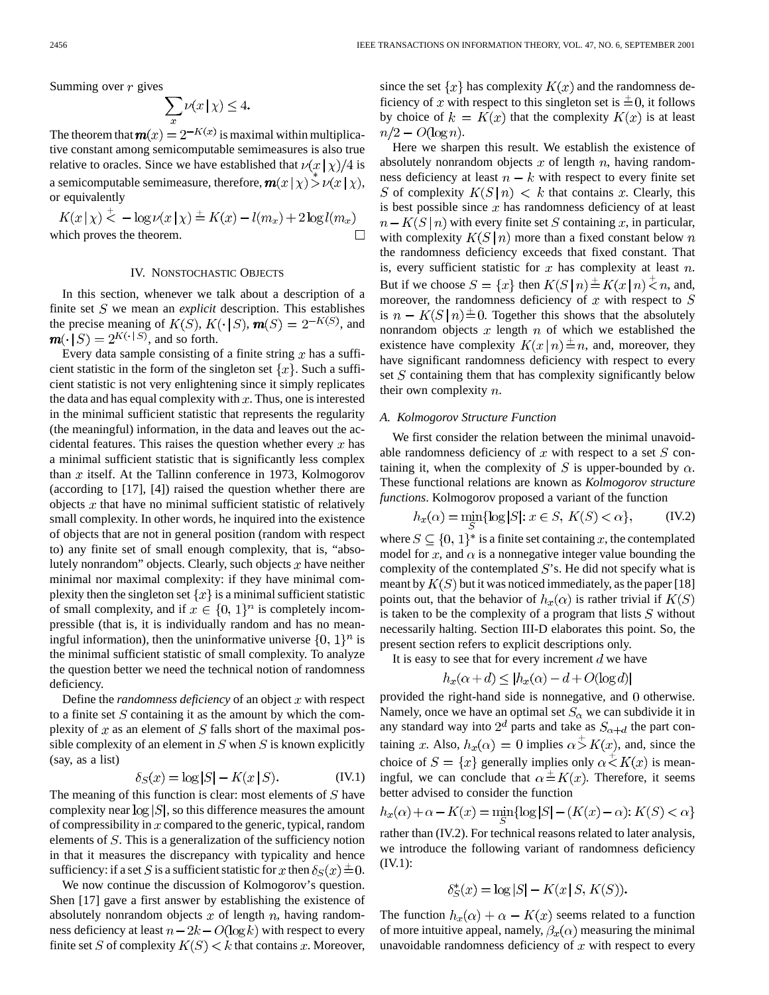Summing over  $r$  gives

$$
\sum_{x} \nu(x \mid \chi) \le 4.
$$

The theorem that  $\mathbf{m}(x) = 2^{-K(x)}$  is maximal within multiplicative constant among semicomputable semimeasures is also true relative to oracles. Since we have established that  $\nu(x|\chi)/4$  is a semicomputable semimeasure, therefore,  $m(x | \chi) \stackrel{\sim}{>} \nu(x | \chi)$ , or equivalently

 $K(x | \chi) \stackrel{+}{\leq} -\log \nu(x | \chi) \stackrel{+}{=} K(x) - l(m_x) + 2 \log l(m_x)$ which proves the theorem. П

#### IV. NONSTOCHASTIC OBJECTS

In this section, whenever we talk about a description of a finite set  $S$  we mean an *explicit* description. This establishes the precise meaning of  $K(S)$ ,  $K(\cdot | S)$ ,  $\mathbf{m}(S) = 2^{-K(S)}$ , and  $\mathbf{m}(\cdot | S) = 2^{K(\cdot | S)}$ , and so forth.

Every data sample consisting of a finite string  $x$  has a sufficient statistic in the form of the singleton set  $\{x\}$ . Such a sufficient statistic is not very enlightening since it simply replicates the data and has equal complexity with  $x$ . Thus, one is interested in the minimal sufficient statistic that represents the regularity (the meaningful) information, in the data and leaves out the accidental features. This raises the question whether every  $x$  has a minimal sufficient statistic that is significantly less complex than  $x$  itself. At the Tallinn conference in 1973, Kolmogorov (according to [17], [4]) raised the question whether there are objects  $x$  that have no minimal sufficient statistic of relatively small complexity. In other words, he inquired into the existence of objects that are not in general position (random with respect to) any finite set of small enough complexity, that is, "absolutely nonrandom" objects. Clearly, such objects  $x$  have neither minimal nor maximal complexity: if they have minimal complexity then the singleton set  $\{x\}$  is a minimal sufficient statistic of small complexity, and if  $x \in \{0, 1\}^n$  is completely incompressible (that is, it is individually random and has no meaningful information), then the uninformative universe  $\{0, 1\}^n$  is the minimal sufficient statistic of small complexity. To analyze the question better we need the technical notion of randomness deficiency.

Define the *randomness deficiency* of an object  $x$  with respect to a finite set  $S$  containing it as the amount by which the complexity of  $x$  as an element of  $S$  falls short of the maximal possible complexity of an element in  $S$  when  $S$  is known explicitly (say, as a list)

$$
\delta_S(x) = \log |S| - K(x | S). \tag{IV.1}
$$

The meaning of this function is clear: most elements of  $S$  have complexity near  $log |S|$ , so this difference measures the amount of compressibility in  $x$  compared to the generic, typical, random elements of  $S$ . This is a generalization of the sufficiency notion in that it measures the discrepancy with typicality and hence sufficiency: if a set S is a sufficient statistic for x then  $\delta_S(x) \triangleq 0$ .

We now continue the discussion of Kolmogorov's question. Shen [17] gave a first answer by establishing the existence of absolutely nonrandom objects  $x$  of length  $n$ , having randomness deficiency at least  $n - 2k - O(\log k)$  with respect to every finite set S of complexity  $K(S) < k$  that contains x. Moreover, since the set  $\{x\}$  has complexity  $K(x)$  and the randomness deficiency of x with respect to this singleton set is  $\pm 0$ , it follows by choice of  $k = K(x)$  that the complexity  $K(x)$  is at least  $n/2 - O(\log n)$ .

Here we sharpen this result. We establish the existence of absolutely nonrandom objects  $x$  of length  $n$ , having randomness deficiency at least  $n - k$  with respect to every finite set S of complexity  $K(S|n) < k$  that contains x. Clearly, this is best possible since  $x$  has randomness deficiency of at least  $n - K(S \mid n)$  with every finite set S containing x, in particular, with complexity  $K(S | n)$  more than a fixed constant below n the randomness deficiency exceeds that fixed constant. That is, every sufficient statistic for  $x$  has complexity at least  $n$ . But if we choose  $S = \{x\}$  then  $K(S \mid n) \stackrel{+}{\leq} K(x \mid n) \stackrel{+}{\leq} n$ , and, moreover, the randomness deficiency of  $x$  with respect to  $S$ is  $n - K(S \mid n) \pm 0$ . Together this shows that the absolutely nonrandom objects  $x$  length  $n$  of which we established the existence have complexity  $K(x \mid n) \stackrel{+}{=} n$ , and, moreover, they have significant randomness deficiency with respect to every set  $S$  containing them that has complexity significantly below their own complexity  $n$ .

#### *A. Kolmogorov Structure Function*

We first consider the relation between the minimal unavoidable randomness deficiency of  $x$  with respect to a set  $S$  containing it, when the complexity of S is upper-bounded by  $\alpha$ . These functional relations are known as *Kolmogorov structure functions*. Kolmogorov proposed a variant of the function

$$
h_x(\alpha) = \min_{S} \{ \log |S| : x \in S, K(S) < \alpha \},\tag{IV.2}
$$

where  $S \subseteq \{0, 1\}^*$  is a finite set containing x, the contemplated model for  $x$ , and  $\alpha$  is a nonnegative integer value bounding the complexity of the contemplated  $S$ 's. He did not specify what is meant by  $K(S)$  but it was noticed immediately, as the paper [18] points out, that the behavior of  $h_x(\alpha)$  is rather trivial if  $K(S)$ is taken to be the complexity of a program that lists  $S$  without necessarily halting. Section III-D elaborates this point. So, the present section refers to explicit descriptions only.

It is easy to see that for every increment  $d$  we have

$$
h_x(\alpha + d) \le |h_x(\alpha) - d + O(\log d)|
$$

provided the right-hand side is nonnegative, and 0 otherwise. Namely, once we have an optimal set  $S_\alpha$  we can subdivide it in any standard way into  $2^d$  parts and take as  $S_{\alpha+d}$  the part containing x. Also,  $h_x(\alpha) = 0$  implies  $\alpha > K(x)$ , and, since the choice of  $S = \{x\}$  generally implies only  $\alpha \stackrel{+}{\leq} K(x)$  is meaningful, we can conclude that  $\alpha \stackrel{+}{=} K(x)$ . Therefore, it seems better advised to consider the function

$$
h_x(\alpha) + \alpha - K(x) = \min_{S} \{ \log |S| - (K(x) - \alpha) : K(S) < \alpha \}
$$

rather than (IV.2). For technical reasons related to later analysis, we introduce the following variant of randomness deficiency (IV.1):

$$
\delta_S^*(x) = \log |S| - K(x | S, K(S)).
$$

The function  $h_x(\alpha) + \alpha - K(x)$  seems related to a function of more intuitive appeal, namely,  $\beta_x(\alpha)$  measuring the minimal unavoidable randomness deficiency of  $x$  with respect to every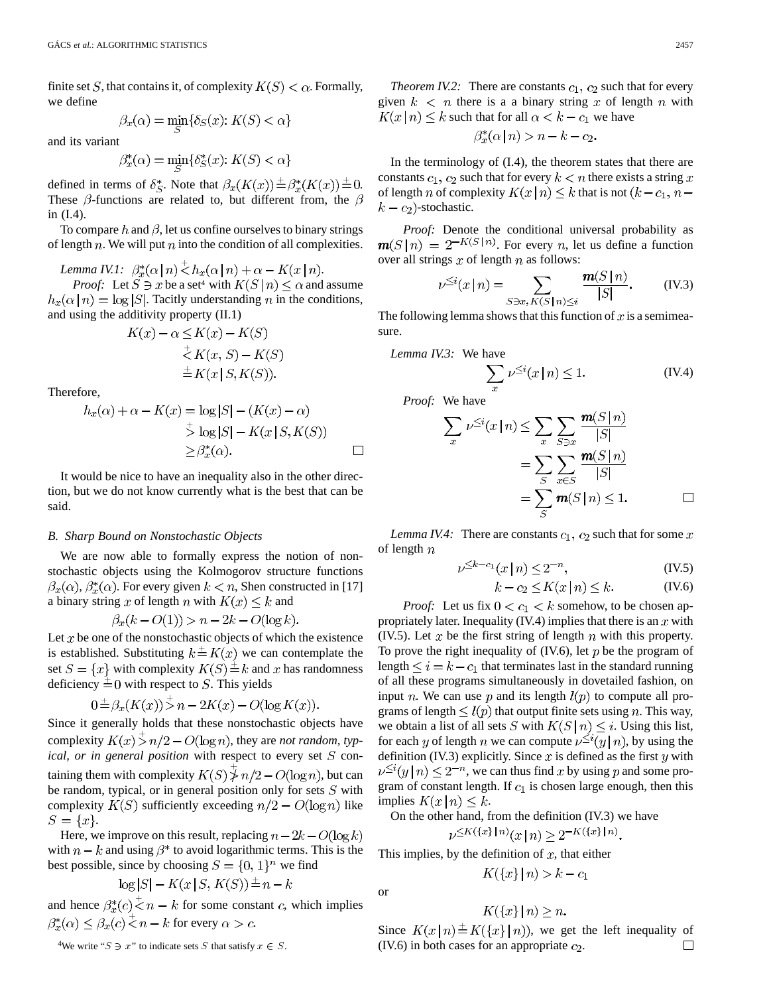finite set S, that contains it, of complexity  $K(S) < \alpha$ . Formally, we define

$$
\beta_x(\alpha) = \min_{S} \{ \delta_S(x) : K(S) < \alpha \}
$$

and its variant

$$
\beta_x^*(\alpha) = \min_S \{ \delta_S^*(x) : K(S) < \alpha \}
$$

defined in terms of  $\delta_S^*$ . Note that  $\beta_x(K(x)) \stackrel{+}{=} \beta_x^*(K(x)) \stackrel{+}{=} 0$ . These  $\beta$ -functions are related to, but different from, the  $\beta$ in (I.4).

To compare h and  $\beta$ , let us confine ourselves to binary strings of length  $n$ . We will put  $n$  into the condition of all complexities.

*Lemma IV.1:*  $\beta_x^*(\alpha | n) \leq h_x(\alpha | n) + \alpha - K(x | n)$ .

*Proof:* Let  $S \ni x$  be a set<sup>4</sup> with  $K(S \mid n) \leq \alpha$  and assume  $h_x(\alpha | n) = \log |S|$ . Tacitly understanding n in the conditions, and using the additivity property (II.1)

$$
K(x) - \alpha \leq K(x) - K(S)
$$
  
\n
$$
\stackrel{+}{\leq} K(x, S) - K(S)
$$
  
\n
$$
\stackrel{+}{=} K(x \mid S, K(S)).
$$

Therefore,

$$
h_x(\alpha) + \alpha - K(x) = \log |S| - (K(x) - \alpha)
$$
  
\n
$$
\Rightarrow \log |S| - K(x | S, K(S))
$$
  
\n
$$
\ge \beta_x^*(\alpha).
$$

It would be nice to have an inequality also in the other direction, but we do not know currently what is the best that can be said.

#### *B. Sharp Bound on Nonstochastic Objects*

We are now able to formally express the notion of nonstochastic objects using the Kolmogorov structure functions  $\beta_x(\alpha)$ ,  $\beta_x^*(\alpha)$ . For every given  $k < n$ , Shen constructed in [17] a binary string x of length n with  $K(x) \leq k$  and

$$
\beta_x(k - O(1)) > n - 2k - O(\log k)
$$

Let  $x$  be one of the nonstochastic objects of which the existence is established. Substituting  $k = K(x)$  we can contemplate the set  $S = \{x\}$  with complexity  $K(S) \stackrel{+}{=} k$  and x has randomness deficiency  $\pm 0$  with respect to S. This yields

$$
\exists \exists \beta_x (K(x)) > n - 2K(x) - O(\log K(x)).
$$

Since it generally holds that these nonstochastic objects have complexity  $K(x) > n/2 - O(\log n)$ , they are *not random*, typ*ical, or in general position* with respect to every set  $S$  containing them with complexity  $K(S) \nless n/2 - O(\log n)$ , but can be random, typical, or in general position only for sets  $S$  with complexity  $K(S)$  sufficiently exceeding  $n/2 - O(\log n)$  like  $S = \{x\}.$ 

Here, we improve on this result, replacing  $n - 2k - O(\log k)$ with  $n - k$  and using  $\beta^*$  to avoid logarithmic terms. This is the best possible, since by choosing  $S = \{0, 1\}^n$  we find

$$
\log|S| - K(x \mid S, K(S)) \stackrel{+}{=} n - k
$$

and hence  $\beta_x^*(c) \stackrel{+}{\leq} n - k$  for some constant c, which implies  $\beta_x^*(\alpha) \leq \beta_x(c) \leq n - k$  for every  $\alpha > c$ .

<sup>4</sup>We write " $S \ni x$ " to indicate sets S that satisfy  $x \in S$ .

*Theorem IV.2:* There are constants  $c_1$ ,  $c_2$  such that for every given  $k < n$  there is a a binary string x of length n with  $K(x | n) \le k$  such that for all  $\alpha < k - c_1$  we have

$$
\beta_x^*(\alpha \mid n) > n - k - c_2.
$$

In the terminology of (I.4), the theorem states that there are constants  $c_1$ ,  $c_2$  such that for every  $k < n$  there exists a string x of length *n* of complexity  $K(x | n) \leq k$  that is not  $(k - c_1, n$  $k - c_2$ )-stochastic.

*Proof:* Denote the conditional universal probability as  $m(S|n) = 2^{-K(S|n)}$ . For every *n*, let us define a function over all strings  $x$  of length  $n$  as follows:

$$
\nu^{\leq i}(x \mid n) = \sum_{S \ni x, K(S \mid n) \leq i} \frac{\mathbf{m}(S \mid n)}{|S|}. \quad (\text{IV.3})
$$

The following lemma shows that this function of  $x$  is a semimeasure.

Lemma IV.3: We have  
\n
$$
\sum_{x} \nu^{\leq i}(x \mid n) \leq 1.
$$
\n(IV.4)

*Proof:* We have

$$
\sum_{x} \nu^{\leq i}(x \mid n) \leq \sum_{x} \sum_{S \ni x} \frac{\mathbf{m}(S \mid n)}{|S|}
$$

$$
= \sum_{S} \sum_{x \in S} \frac{\mathbf{m}(S \mid n)}{|S|}
$$

$$
= \sum_{S} \mathbf{m}(S \mid n) \leq 1. \qquad \Box
$$

*Lemma IV.4:* There are constants  $c_1$ ,  $c_2$  such that for some x of length  $n$ 

$$
\nu^{\leq k - c_1}(x \mid n) \leq 2^{-n},\tag{IV.5}
$$

$$
k - c_2 \le K(x \mid n) \le k. \tag{IV.6}
$$

*Proof:* Let us fix  $0 < c_1 < k$  somehow, to be chosen appropriately later. Inequality (IV.4) implies that there is an  $x$  with (IV.5). Let x be the first string of length  $n$  with this property. To prove the right inequality of  $(IV.6)$ , let p be the program of length  $\leq i = k - c_1$  that terminates last in the standard running of all these programs simultaneously in dovetailed fashion, on input *n*. We can use *p* and its length  $l(p)$  to compute all programs of length  $\leq l(p)$  that output finite sets using n. This way, we obtain a list of all sets S with  $K(S \mid n) \leq i$ . Using this list, for each y of length n we can compute  $v^{\leq i}(y \mid n)$ , by using the definition (IV.3) explicitly. Since  $x$  is defined as the first  $y$  with  $\nu^{\leq i}(y|n) \leq 2^{-n}$ , we can thus find x by using p and some program of constant length. If  $c_1$  is chosen large enough, then this implies  $K(x|n) \leq k$ .

On the other hand, from the definition (IV.3) we have  $\nu^{\leq K(\{x\} | n)}(x | n) > 2^{-K(\{x\} | n)}.$ 

This implies, by the definition of  $x$ , that either

or

$$
K({x}\mid n) > k - c_1
$$

$$
K({x} | n) \ge n.
$$

Since  $K(x | n) \stackrel{+}{=} K({x} | n)$ , we get the left inequality of (IV.6) in both cases for an appropriate  $c_2$ .  $\Box$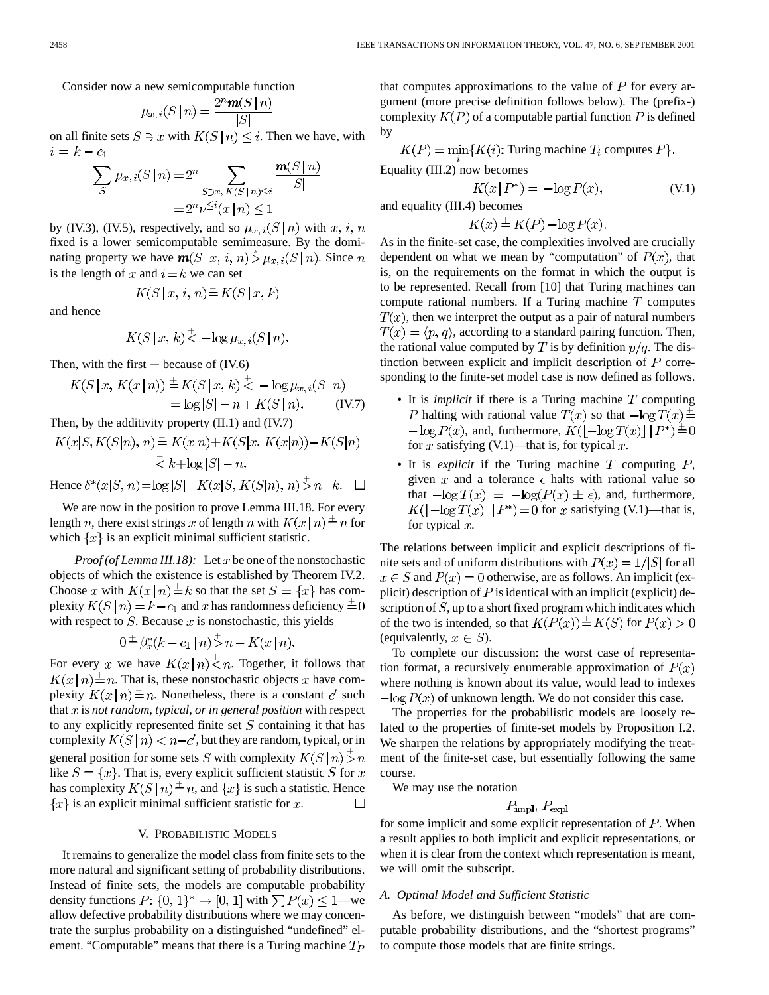Consider now a new semicomputable function

$$
\mu_{x,i}(S \mid n) = \frac{2^n \mathbf{m}(S \mid n)}{|S|}
$$

on all finite sets  $S \ni x$  with  $K(S | n) \leq i$ . Then we have, with  $i = k - c_1$  $(0.1)$ 

$$
\sum_{S} \mu_{x,i}(S|n) = 2^{n} \sum_{S \ni x, K(S|n) \le i} \frac{\mathbf{m}(S|n)}{|S|}
$$

$$
= 2^{n} \nu^{\le i}(x|n) \le 1
$$

by (IV.3), (IV.5), respectively, and so  $\mu_{x,i}(S \mid n)$  with  $x, i, n$ fixed is a lower semicomputable semimeasure. By the dominating property we have  $\mathbf{m}(S | x, i, n) \stackrel{*}{\geq} \mu_{x,i}(S | n)$ . Since n is the length of x and  $i = k$  we can set

$$
K(S \mid x, i, n) \stackrel{+}{=} K(S \mid x, k)
$$

and hence

$$
K(S | x, k) \le -\log \mu_{x, i}(S | n)
$$

Then, with the first  $\stackrel{+}{=}$  because of (IV.6)

$$
K(S | x, K(x | n)) \stackrel{+}{=} K(S | x, k) \stackrel{+}{\lt} -\log \mu_{x,i}(S | n) = \log |S| - n + K(S | n). \tag{IV.7}
$$

Then, by the additivity property (II.1) and (IV.7)

$$
K(x|S, K(S|n), n) \stackrel{+}{=} K(x|n) + K(S|x, K(x|n)) - K(S|n)
$$
  
\n
$$
\stackrel{+}{\leq} k + \log|S| - n.
$$
  
\nHence  $\delta^*(x|S, n) = \log|S| - K(x|S, K(S|n), n) \stackrel{+}{>} n - k.$ 

We are now in the position to prove Lemma III.18. For every length *n*, there exist strings x of length *n* with  $K(x|n) \stackrel{+}{=} n$  for which  $\{x\}$  is an explicit minimal sufficient statistic.

*Proof (of Lemma III.18):* Let  $x$  be one of the nonstochastic objects of which the existence is established by Theorem IV.2. Choose x with  $K(x \mid n) \stackrel{+}{=} k$  so that the set  $S = \{x\}$  has complexity  $K(S | n) = k - c_1$  and x has randomness deficiency  $\pm 0$ with respect to  $S$ . Because  $x$  is nonstochastic, this yields

$$
0 \stackrel{+}{=} \beta_x^*(k - c_1 \mid n) \stackrel{-}{>} n - K(x \mid n).
$$

For every x we have  $K(x|n) \leq n$ . Together, it follows that  $K(x \mid n) \stackrel{+}{=} n$ . That is, these nonstochastic objects x have complexity  $K(x \mid n) \stackrel{+}{=} n$ . Nonetheless, there is a constant c' such that  $x$  is *not random, typical, or in general position* with respect to any explicitly represented finite set  $S$  containing it that has complexity  $K(S | n) < n - c'$ , but they are random, typical, or in general position for some sets S with complexity  $K(S \mid n) > n$ like  $S = \{x\}$ . That is, every explicit sufficient statistic S for x has complexity  $K(S | n) \stackrel{+}{=} n$ , and  $\{x\}$  is such a statistic. Hence  ${x}$  is an explicit minimal sufficient statistic for x.  $\Box$ 

#### V. PROBABILISTIC MODELS

It remains to generalize the model class from finite sets to the more natural and significant setting of probability distributions. Instead of finite sets, the models are computable probability density functions  $P: \{0, 1\}^* \to [0, 1]$  with  $\sum P(x) \leq 1$ —we allow defective probability distributions where we may concentrate the surplus probability on a distinguished "undefined" element. "Computable" means that there is a Turing machine  $T_P$  that computes approximations to the value of  $P$  for every argument (more precise definition follows below). The (prefix-) complexity  $K(P)$  of a computable partial function P is defined by

$$
K(P) = \min_{i} \{ K(i): \text{Turing machine } T_i \text{ computes } P \}.
$$
  
Equality (III.2) now becomes

$$
K(x \mid P^*) \stackrel{+}{=} -\log P(x),\tag{V.1}
$$

and equality (III.4) becomes

$$
K(x) \stackrel{+}{=} K(P) - \log P(x).
$$

As in the finite-set case, the complexities involved are crucially dependent on what we mean by "computation" of  $P(x)$ , that is, on the requirements on the format in which the output is to be represented. Recall from [10] that Turing machines can compute rational numbers. If a Turing machine  $T$  computes  $T(x)$ , then we interpret the output as a pair of natural numbers  $T(x) = \langle p, q \rangle$ , according to a standard pairing function. Then, the rational value computed by T is by definition  $p/q$ . The distinction between explicit and implicit description of  $P$  corresponding to the finite-set model case is now defined as follows.

- It is *implicit* if there is a Turing machine  $T$  computing P halting with rational value  $T(x)$  so that  $-\log T(x) \stackrel{\perp}{=}$  $-\log P(x)$ , and, furthermore,  $K(|-\log T(x)|) P^* \stackrel{\pm}{=} 0$ for x satisfying  $(V.1)$ —that is, for typical x.
- It is *explicit* if the Turing machine  $T$  computing  $P$ , given x and a tolerance  $\epsilon$  halts with rational value so that  $-\log T(x) = -\log(P(x) \pm \epsilon)$ , and, furthermore,  $K(\lvert -\log T(x) \rvert \, \lvert P^* \rvert \stackrel{\pm}{=} 0$  for x satisfying (V.1)—that is, for typical  $x$ .

The relations between implicit and explicit descriptions of finite sets and of uniform distributions with  $P(x) = 1/|S|$  for all  $x \in S$  and  $P(x) = 0$  otherwise, are as follows. An implicit (explicit) description of  $P$  is identical with an implicit (explicit) description of  $S$ , up to a short fixed program which indicates which of the two is intended, so that  $K(P(x)) \stackrel{+}{=} K(S)$  for  $P(x) > 0$ (equivalently,  $x \in S$ ).

To complete our discussion: the worst case of representation format, a recursively enumerable approximation of  $P(x)$ where nothing is known about its value, would lead to indexes  $-\log P(x)$  of unknown length. We do not consider this case.

The properties for the probabilistic models are loosely related to the properties of finite-set models by Proposition I.2. We sharpen the relations by appropriately modifying the treatment of the finite-set case, but essentially following the same course.

We may use the notation

$$
P_{\text{impl}}, P_{\text{expl}}
$$

for some implicit and some explicit representation of  $P$ . When a result applies to both implicit and explicit representations, or when it is clear from the context which representation is meant, we will omit the subscript.

#### *A. Optimal Model and Sufficient Statistic*

As before, we distinguish between "models" that are computable probability distributions, and the "shortest programs" to compute those models that are finite strings.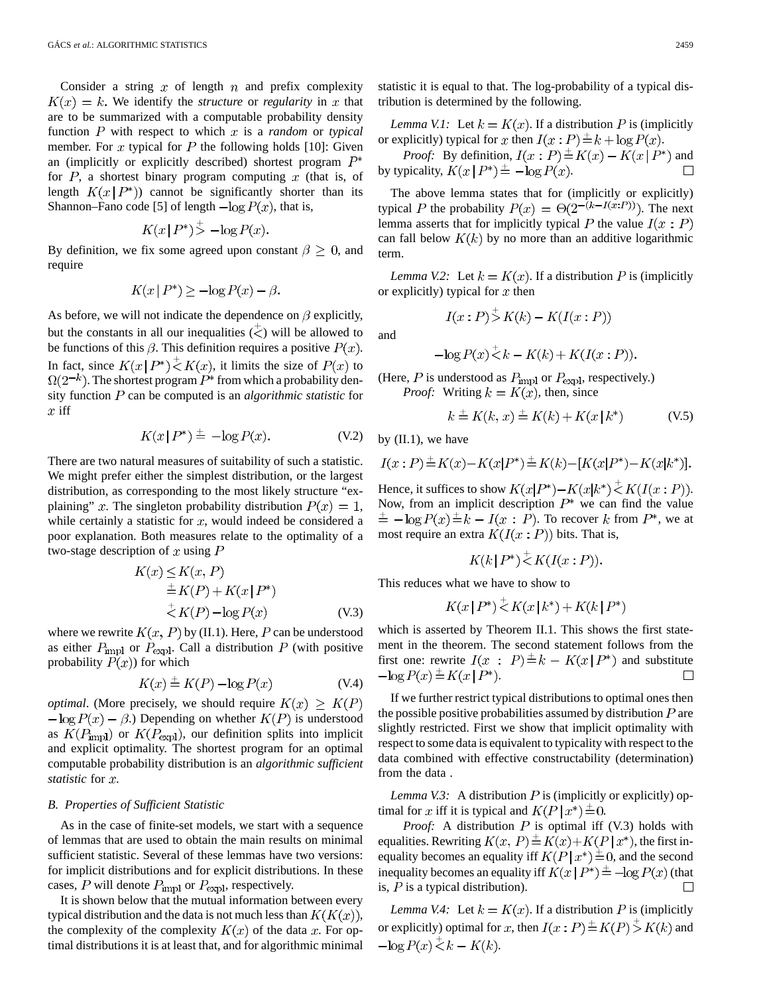Consider a string  $x$  of length  $n$  and prefix complexity  $K(x) = k$ . We identify the *structure* or *regularity* in x that are to be summarized with a computable probability density function  $P$  with respect to which  $x$  is a *random* or *typical* member. For x typical for  $P$  the following holds [10]: Given an (implicitly or explicitly described) shortest program  $P^*$ for  $P$ , a shortest binary program computing  $x$  (that is, of length  $K(x|P^*))$  cannot be significantly shorter than its Shannon–Fano code [5] of length  $-\log P(x)$ , that is,

$$
K(x \mid P^*)^{\perp} - \log P(x).
$$

By definition, we fix some agreed upon constant  $\beta \geq 0$ , and require

$$
K(x | P^*) \ge -\log P(x) - \beta.
$$

As before, we will not indicate the dependence on  $\beta$  explicitly, but the constants in all our inequalities  $(\langle \rangle)$  will be allowed to be functions of this  $\beta$ . This definition requires a positive  $P(x)$ . In fact, since  $K(x | P^*) \leq K(x)$ , it limits the size of  $P(x)$  to  $\Omega(2^{-k})$ . The shortest program  $P^*$  from which a probability density function P can be computed is an *algorithmic statistic* for  $x$  iff

$$
K(x \mid P^*) \stackrel{+}{=} -\log P(x). \tag{V.2}
$$

There are two natural measures of suitability of such a statistic. We might prefer either the simplest distribution, or the largest distribution, as corresponding to the most likely structure "explaining" x. The singleton probability distribution  $P(x) = 1$ , while certainly a statistic for  $x$ , would indeed be considered a poor explanation. Both measures relate to the optimality of a two-stage description of x using  $P$ 

$$
K(x) \leq K(x, P)
$$
  
\n
$$
\stackrel{+}{=} K(P) + K(x | P^*)
$$
  
\n
$$
\stackrel{+}{\leq} K(P) - \log P(x)
$$
 (V.3)

where we rewrite  $K(x, P)$  by (II.1). Here, P can be understood as either  $P_{\text{impl}}$  or  $P_{\text{expl}}$ . Call a distribution P (with positive probability  $P(x)$  for which

$$
K(x) \stackrel{+}{=} K(P) - \log P(x) \tag{V.4}
$$

*optimal.* (More precisely, we should require  $K(x) \geq K(P)$  $-\log P(x) - \beta$ .) Depending on whether  $K(P)$  is understood as  $K(P_{\text{impl}})$  or  $K(P_{\text{expl}})$ , our definition splits into implicit and explicit optimality. The shortest program for an optimal computable probability distribution is an *algorithmic sufficient statistic* for x.

#### *B. Properties of Sufficient Statistic*

As in the case of finite-set models, we start with a sequence of lemmas that are used to obtain the main results on minimal sufficient statistic. Several of these lemmas have two versions: for implicit distributions and for explicit distributions. In these cases, P will denote  $P_{\text{impl}}$  or  $P_{\text{expl}}$ , respectively.

It is shown below that the mutual information between every typical distribution and the data is not much less than  $K(K(x))$ , the complexity of the complexity  $K(x)$  of the data x. For optimal distributions it is at least that, and for algorithmic minimal statistic it is equal to that. The log-probability of a typical distribution is determined by the following.

*Lemma V.1:* Let  $k = K(x)$ . If a distribution P is (implicitly or explicitly) typical for x then  $I(x : P) \stackrel{+}{=} k + \log P(x)$ .

*Proof:* By definition,  $I(x : P) \stackrel{+}{=} K(x) - K(x | P^*)$  and by typicality,  $K(x | P^*) \stackrel{+}{=} -\log P(x)$ . П

The above lemma states that for (implicitly or explicitly) typical P the probability  $P(x) = \Theta(2^{-(k-I(x:P))})$ . The next lemma asserts that for implicitly typical P the value  $I(x : P)$ can fall below  $K(k)$  by no more than an additive logarithmic term.

*Lemma V.2:* Let  $k = K(x)$ . If a distribution P is (implicitly or explicitly) typical for  $x$  then

$$
I(x:P) \supsetneq K(k) - K(I(x:P))
$$

and

$$
-\log P(x) \stackrel{+}{\leq} k - K(k) + K(I(x:P)).
$$

(Here,  $P$  is understood as  $P_{\text{impl}}$  or  $P_{\text{expl}}$ , respectively.) *Proof:* Writing  $k = K(x)$ , then, since

$$
k \stackrel{+}{=} K(k, x) \stackrel{+}{=} K(k) + K(x | k^*)
$$
 (V.5)

by  $(II.1)$ , we have

$$
I(x : P) \stackrel{+}{=} K(x) - K(x|P^*) \stackrel{+}{=} K(k) - [K(x|P^*) - K(x|k^*)].
$$

Hence, it suffices to show  $K(x|P^*)-K(x|k^*) \leq K(I(x:P)).$ Now, from an implicit description  $P^*$  we can find the value  $\pm -\log P(x) \pm k - I(x : P)$ . To recover k from  $P^*$ , we at most require an extra  $K(I(x : P))$  bits. That is,

$$
K(k|P^*) \overset{+}{\leq} K(I(x:P)).
$$

This reduces what we have to show to

$$
K(x | P^*) \, \dot{\leq} \, K(x | k^*) + K(k | P^*)
$$

which is asserted by Theorem II.1. This shows the first statement in the theorem. The second statement follows from the first one: rewrite  $I(x : P) \stackrel{+}{=} k - K(x | P^*)$  and substitute  $-\log P(x) \stackrel{+}{=} K(x | P^*).$  $\Box$ 

If we further restrict typical distributions to optimal ones then the possible positive probabilities assumed by distribution  $P$  are slightly restricted. First we show that implicit optimality with respect to some data is equivalent to typicality with respect to the data combined with effective constructability (determination) from the data .

*Lemma V.3:* A distribution  $P$  is (implicitly or explicitly) optimal for x iff it is typical and  $K(P | x^*) \stackrel{\pm}{=} 0$ .

*Proof:* A distribution  $P$  is optimal iff (V.3) holds with equalities. Rewriting  $K(x, P) \stackrel{+}{=} K(x)+K(P|x^*)$ , the first inequality becomes an equality iff  $K(P|x^*) \stackrel{+}{=} 0$ , and the second inequality becomes an equality iff  $K(x | P^*) \stackrel{\perp}{=} -\log P(x)$  (that is,  $P$  is a typical distribution).  $\overline{\phantom{0}}$ 

*Lemma V.4:* Let  $k = K(x)$ . If a distribution P is (implicitly or explicitly) optimal for x, then  $I(x : P) \stackrel{+}{=} K(P) \stackrel{+}{>} K(k)$  and  $-\log P(x) < k - K(k)$ .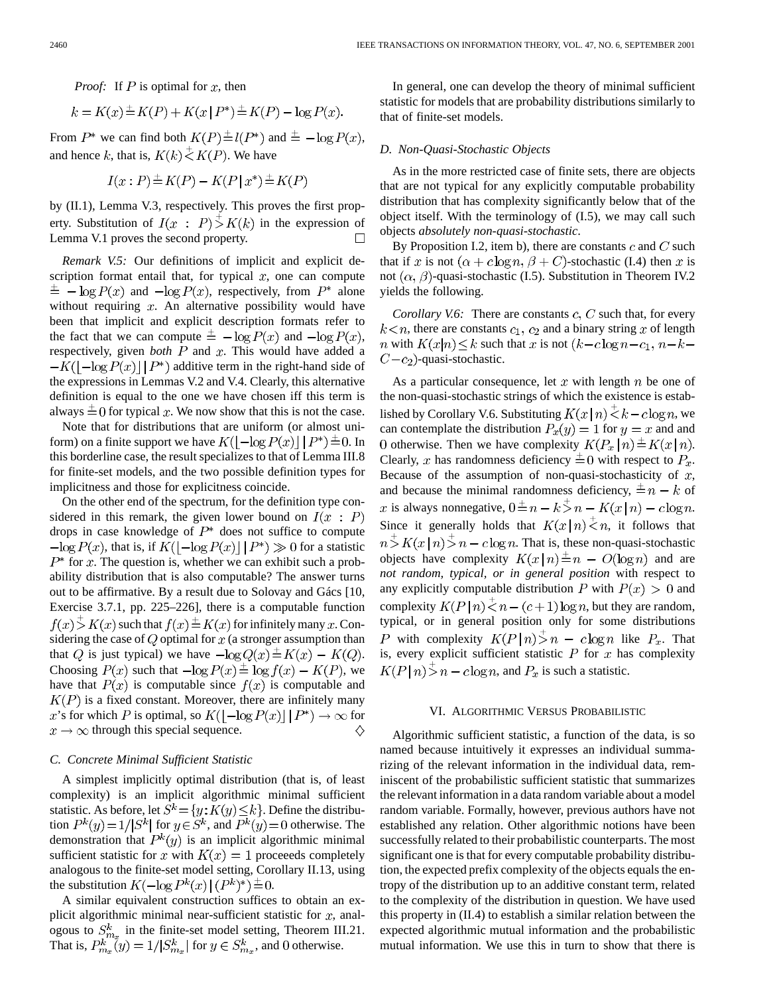*Proof:* If  $P$  is optimal for  $x$ , then

$$
k = K(x) \pm K(P) + K(x | P^*) \pm K(P) - \log P(x).
$$

From  $P^*$  we can find both  $K(P) \stackrel{+}{=} l(P^*)$  and  $\stackrel{+}{=} -\log P(x)$ , and hence k, that is,  $K(k) \stackrel{+}{\leq} K(P)$ . We have

$$
I(x:P) \stackrel{+}{=} K(P) - K(P | x^*) \stackrel{+}{=} K(P)
$$

by (II.1), Lemma V.3, respectively. This proves the first property. Substitution of  $I(x : P) > K(k)$  in the expression of Lemma V.1 proves the second property.

*Remark V.5:* Our definitions of implicit and explicit description format entail that, for typical  $x$ , one can compute  $\pm$  -  $\log P(x)$  and  $-\log P(x)$ , respectively, from  $P^*$  alone without requiring  $x$ . An alternative possibility would have been that implicit and explicit description formats refer to the fact that we can compute  $\pm -\log P(x)$  and  $-\log P(x)$ , respectively, given *both*  $P$  and  $x$ . This would have added a  $-K(|-\log P(x)| | P^*)$  additive term in the right-hand side of the expressions in Lemmas V.2 and V.4. Clearly, this alternative definition is equal to the one we have chosen iff this term is always  $\pm 0$  for typical x. We now show that this is not the case.

Note that for distributions that are uniform (or almost uniform) on a finite support we have  $K(\lfloor -\log P(x) \rfloor | P^*) = 0$ . In this borderline case, the result specializes to that of Lemma III.8 for finite-set models, and the two possible definition types for implicitness and those for explicitness coincide.

On the other end of the spectrum, for the definition type considered in this remark, the given lower bound on  $I(x : P)$ drops in case knowledge of  $P^*$  does not suffice to compute  $-\log P(x)$ , that is, if  $K(|-\log P(x)| | P^*) \gg 0$  for a statistic  $P^*$  for x. The question is, whether we can exhibit such a probability distribution that is also computable? The answer turns out to be affirmative. By a result due to Solovay and Gács [10, Exercise 3.7.1, pp. 225–226], there is a computable function  $f(x) \stackrel{+}{>} K(x)$  such that  $f(x) \stackrel{+}{=} K(x)$  for infinitely many x. Considering the case of  $Q$  optimal for  $x$  (a stronger assumption than that Q is just typical) we have  $-\log Q(x) \stackrel{+}{=} K(x) - K(Q)$ . Choosing  $P(x)$  such that  $-\log P(x) \stackrel{+}{=} \log f(x) - K(P)$ , we have that  $P(x)$  is computable since  $f(x)$  is computable and  $K(P)$  is a fixed constant. Moreover, there are infinitely many x's for which P is optimal, so  $K(|-\log P(x)| \mid P^*) \to \infty$  for  $x \rightarrow \infty$  through this special sequence. ♦

#### *C. Concrete Minimal Sufficient Statistic*

A simplest implicitly optimal distribution (that is, of least complexity) is an implicit algorithmic minimal sufficient statistic. As before, let  $S^k \! = \! \{y \! : \! K(y) \! \leq \! k\}.$  Define the distribution  $P^{k}(y) = 1/|S^{k}|$  for  $y \in S^{k}$ , and  $P^{k}(y) = 0$  otherwise. The demonstration that  $P^{k}(y)$  is an implicit algorithmic minimal sufficient statistic for x with  $K(x) = 1$  proceeds completely analogous to the finite-set model setting, Corollary II.13, using the substitution  $K(-\log P^k(x) | (P^k)^*)^{\pm} = 0$ .

A similar equivalent construction suffices to obtain an explicit algorithmic minimal near-sufficient statistic for  $x$ , analogous to  $S_{m_x}^k$  in the finite-set model setting, Theorem III.21. That is,  $P_{m_{m}}^{k}(y) = 1/|S_{m_{m}}^{k}|$  for  $y \in S_{m_{m}}^{k}$ , and 0 otherwise.

In general, one can develop the theory of minimal sufficient statistic for models that are probability distributions similarly to that of finite-set models.

#### *D. Non-Quasi-Stochastic Objects*

As in the more restricted case of finite sets, there are objects that are not typical for any explicitly computable probability distribution that has complexity significantly below that of the object itself. With the terminology of (I.5), we may call such objects *absolutely non-quasi-stochastic*.

By Proposition I.2, item b), there are constants  $c$  and  $C$  such that if x is not  $(\alpha + c \log n, \beta + C)$ -stochastic (I.4) then x is not  $(\alpha, \beta)$ -quasi-stochastic (I.5). Substitution in Theorem IV.2 yields the following.

*Corollary V.6:* There are constants  $c$ ,  $C$  such that, for every  $k \leq n$ , there are constants  $c_1$ ,  $c_2$  and a binary string x of length *n* with  $K(x|n) \le k$  such that *x* is not  $(k - c \log n - c_1, n - k C-c_2$ )-quasi-stochastic.

As a particular consequence, let x with length  $n$  be one of the non-quasi-stochastic strings of which the existence is established by Corollary V.6. Substituting  $K(x | n) \le k - c \log n$ , we can contemplate the distribution  $P_x(y) = 1$  for  $y = x$  and and 0 otherwise. Then we have complexity  $K(P_x \mid n) \stackrel{+}{=} K(x \mid n)$ . Clearly, x has randomness deficiency  $\pm 0$  with respect to  $P_x$ . Because of the assumption of non-quasi-stochasticity of  $x$ , and because the minimal randomness deficiency,  $\pm n - k$  of x is always nonnegative,  $0 \stackrel{+}{=} n - k \stackrel{+}{>} n - K(x \mid n) - c \log n$ . Since it generally holds that  $K(x|n) \stackrel{+}{\leq} n$ , it follows that  $n > K(x \mid n) > n - c \log n$ . That is, these non-quasi-stochastic objects have complexity  $K(x|n) \stackrel{+}{=} n - O(\log n)$  and are *not random, typical, or in general position* with respect to any explicitly computable distribution P with  $P(x) > 0$  and complexity  $K(P \mid n) \stackrel{+}{\leq} n - (c+1) \log n$ , but they are random, typical, or in general position only for some distributions P with complexity  $K(P|n) > n - c \log n$  like  $P_x$ . That is, every explicit sufficient statistic  $P$  for  $x$  has complexity  $K(P \mid n) > n - c \log n$ , and  $P_x$  is such a statistic.

#### VI. ALGORITHMIC VERSUS PROBABILISTIC

Algorithmic sufficient statistic, a function of the data, is so named because intuitively it expresses an individual summarizing of the relevant information in the individual data, reminiscent of the probabilistic sufficient statistic that summarizes the relevant information in a data random variable about a model random variable. Formally, however, previous authors have not established any relation. Other algorithmic notions have been successfully related to their probabilistic counterparts. The most significant one is that for every computable probability distribution, the expected prefix complexity of the objects equals the entropy of the distribution up to an additive constant term, related to the complexity of the distribution in question. We have used this property in (II.4) to establish a similar relation between the expected algorithmic mutual information and the probabilistic mutual information. We use this in turn to show that there is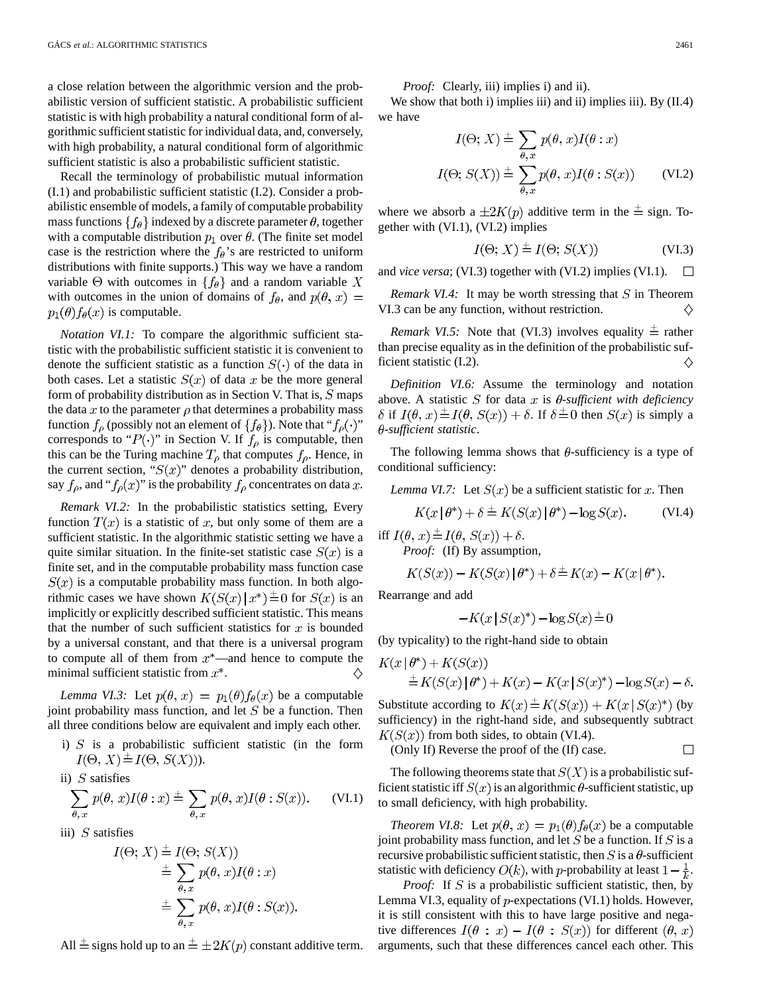a close relation between the algorithmic version and the probabilistic version of sufficient statistic. A probabilistic sufficient statistic is with high probability a natural conditional form of algorithmic sufficient statistic for individual data, and, conversely, with high probability, a natural conditional form of algorithmic sufficient statistic is also a probabilistic sufficient statistic.

Recall the terminology of probabilistic mutual information (I.1) and probabilistic sufficient statistic (I.2). Consider a probabilistic ensemble of models, a family of computable probability mass functions  $\{f_{\theta}\}\$ indexed by a discrete parameter  $\theta$ , together with a computable distribution  $p_1$  over  $\theta$ . (The finite set model case is the restriction where the  $f_{\theta}$ 's are restricted to uniform distributions with finite supports.) This way we have a random variable  $\Theta$  with outcomes in  $\{f_{\theta}\}\$  and a random variable X with outcomes in the union of domains of  $f_\theta$ , and  $p(\theta, x) =$  $p_1(\theta) f_{\theta}(x)$  is computable.

*Notation VI.1:* To compare the algorithmic sufficient statistic with the probabilistic sufficient statistic it is convenient to denote the sufficient statistic as a function  $S(\cdot)$  of the data in both cases. Let a statistic  $S(x)$  of data x be the more general form of probability distribution as in Section V. That is,  $S$  maps the data x to the parameter  $\rho$  that determines a probability mass function  $f_\rho$  (possibly not an element of  $\{f_\theta\}$ ). Note that " $f_\rho(\cdot)$ " corresponds to " $P(\cdot)$ " in Section V. If  $f_{\rho}$  is computable, then this can be the Turing machine  $T_{\rho}$  that computes  $f_{\rho}$ . Hence, in the current section, " $S(x)$ " denotes a probability distribution, say  $f_{\rho}$ , and " $f_{\rho}(x)$ " is the probability  $f_{\rho}$  concentrates on data x.

*Remark VI.2:* In the probabilistic statistics setting, Every function  $T(x)$  is a statistic of x, but only some of them are a sufficient statistic. In the algorithmic statistic setting we have a quite similar situation. In the finite-set statistic case  $S(x)$  is a finite set, and in the computable probability mass function case  $S(x)$  is a computable probability mass function. In both algorithmic cases we have shown  $K(S(x) | x^*) \stackrel{+}{=} 0$  for  $S(x)$  is an implicitly or explicitly described sufficient statistic. This means that the number of such sufficient statistics for  $x$  is bounded by a universal constant, and that there is a universal program to compute all of them from  $x^*$ —and hence to compute the minimal sufficient statistic from  $x^*$ . ♦

*Lemma VI.3:* Let  $p(\theta, x) = p_1(\theta) f_{\theta}(x)$  be a computable joint probability mass function, and let  $S$  be a function. Then all three conditions below are equivalent and imply each other.

i)  $S$  is a probabilistic sufficient statistic (in the form  $I(\Theta, X) \stackrel{+}{=} I(\Theta, S(X))$ .

ii) S satisfies  

$$
\sum_{\theta, x} p(\theta, x)I(\theta : x) \stackrel{+}{=} \sum_{\theta, x} p(\theta, x)I(\theta : S(x)).
$$
 (VI.1)

iii)  $S$  satisfies

$$
I(\Theta; X) \stackrel{\pm}{=} I(\Theta; S(X))
$$
  
\n
$$
\stackrel{\pm}{=} \sum_{\theta, x} p(\theta, x) I(\theta : x)
$$
  
\n
$$
\stackrel{\pm}{=} \sum_{\theta, x} p(\theta, x) I(\theta : S(x)).
$$

All  $\pm$  signs hold up to an  $\pm \pm 2K(p)$  constant additive term.

*Proof:* Clearly, iii) implies i) and ii).

We show that both i) implies iii) and ii) implies iii). By (II.4) we have

$$
I(\Theta; X) \stackrel{+}{=} \sum_{\theta, x} p(\theta, x) I(\theta : x)
$$

$$
I(\Theta; S(X)) \stackrel{+}{=} \sum_{\theta, x} p(\theta, x) I(\theta : S(x)) \qquad \text{(VI.2)}
$$

where we absorb a  $\pm 2K(p)$  additive term in the  $\pm$  sign. Together with (VI.1), (VI.2) implies

$$
I(\Theta; X) \stackrel{+}{=} I(\Theta; S(X)) \tag{VI.3}
$$

and *vice versa*; (VI.3) together with (VI.2) implies (VI.1).  $\Box$ 

*Remark VI.4:* It may be worth stressing that  $S$  in Theorem VI.3 can be any function, without restriction. ♦

*Remark VI.5:* Note that (VI.3) involves equality  $\pm$  rather than precise equality as in the definition of the probabilistic sufficient statistic (I.2). ♦

*Definition VI.6:* Assume the terminology and notation above. A statistic *S* for data x is  $\theta$ -sufficient with deficiency  $\delta$  if  $I(\theta, x) \stackrel{+}{=} I(\theta, S(x)) + \delta$ . If  $\delta \stackrel{+}{=} 0$  then  $S(x)$  is simply a -*sufficient statistic*.

The following lemma shows that  $\theta$ -sufficiency is a type of conditional sufficiency:

*Lemma VI.7:* Let  $S(x)$  be a sufficient statistic for x. Then

$$
K(x|\theta^*) + \delta \stackrel{+}{=} K(S(x)|\theta^*) - \log S(x). \tag{VI.4}
$$

iff  $I(\theta, x) \stackrel{+}{=} I(\theta, S(x)) + \delta$ . *Proof:* (If) By assumption,

$$
K(S(x)) - K(S(x) | \theta^*) + \delta \stackrel{+}{=} K(x) - K(x | \theta^*).
$$

Rearrange and add

$$
-K(x \,|\, S(x)^*) - \log S(x) \stackrel{+}{=} 0
$$

(by typicality) to the right-hand side to obtain

$$
K(x | \theta^*) + K(S(x))
$$
  
\n
$$
\stackrel{+}{=} K(S(x) | \theta^*) + K(x) - K(x | S(x)^*) - \log S(x) - \delta.
$$

Substitute according to  $K(x) \stackrel{+}{=} K(S(x)) + K(x | S(x)^*)$  (by sufficiency) in the right-hand side, and subsequently subtract  $K(S(x))$  from both sides, to obtain (VI.4).

(Only If) Reverse the proof of the (If) case.  $\Box$ 

The following theorems state that  $S(X)$  is a probabilistic sufficient statistic iff  $S(x)$  is an algorithmic  $\theta$ -sufficient statistic, up to small deficiency, with high probability.

*Theorem VI.8:* Let  $p(\theta, x) = p_1(\theta) f_{\theta}(x)$  be a computable joint probability mass function, and let  $S$  be a function. If  $S$  is a recursive probabilistic sufficient statistic, then  $S$  is a  $\theta$ -sufficient statistic with deficiency  $O(k)$ , with p-probability at least  $1 - \frac{1}{k}$ .

*Proof:* If  $S$  is a probabilistic sufficient statistic, then, by Lemma VI.3, equality of  $p$ -expectations (VI.1) holds. However, it is still consistent with this to have large positive and negative differences  $I(\theta : x) - I(\theta : S(x))$  for different  $(\theta, x)$ arguments, such that these differences cancel each other. This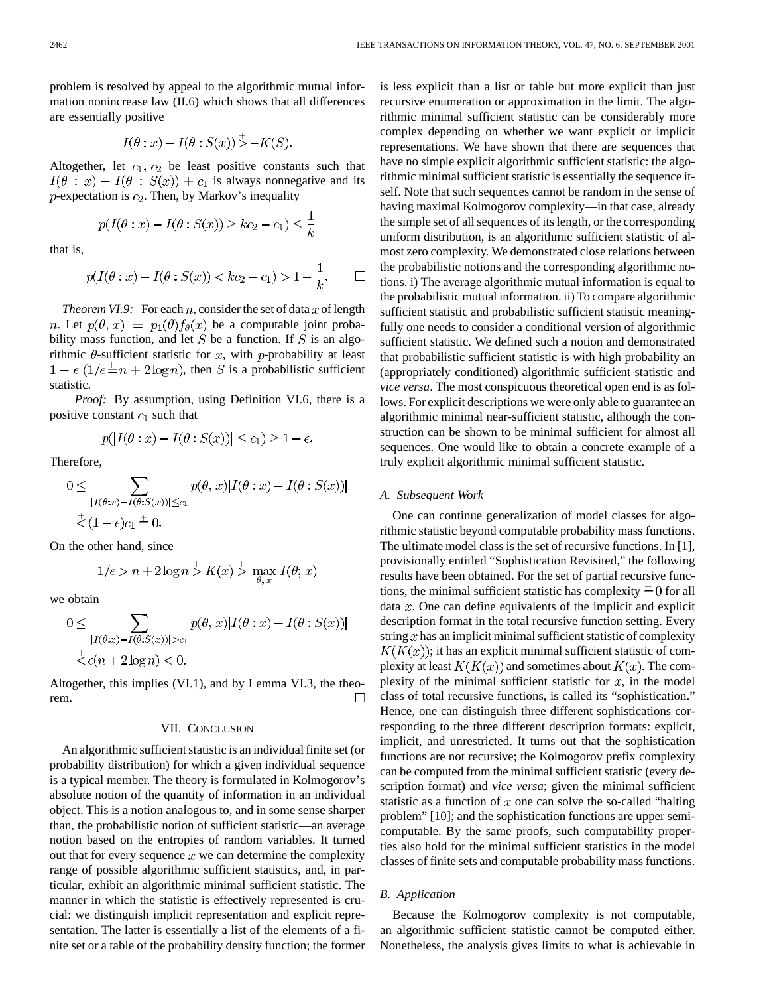problem is resolved by appeal to the algorithmic mutual information nonincrease law (II.6) which shows that all differences are essentially positive

$$
I(\theta : x) - I(\theta : S(x)) > -K(S).
$$

Altogether, let  $c_1$ ,  $c_2$  be least positive constants such that  $I(\theta : x) - I(\theta : S(x)) + c_1$  is always nonnegative and its  $p$ -expectation is  $c_2$ . Then, by Markov's inequality

$$
p(I(\theta : x) - I(\theta : S(x)) \ge kc_2 - c_1) \le \frac{1}{k}
$$

that is,

$$
p(I(\theta: x) - I(\theta: S(x)) < kc_2 - c_1) > 1 - \frac{1}{k}.
$$
  $\Box$ 

*Theorem VI.9:* For each  $n$ , consider the set of data  $x$  of length *n*. Let  $p(\theta, x) = p_1(\theta) f_{\theta}(x)$  be a computable joint probability mass function, and let  $S$  be a function. If  $S$  is an algorithmic  $\theta$ -sufficient statistic for x, with p-probability at least  $1 - \epsilon (1/\epsilon \pm n + 2 \log n)$ , then S is a probabilistic sufficient statistic.

*Proof:* By assumption, using Definition VI.6, there is a positive constant  $c_1$  such that

$$
p(|I(\theta: x) - I(\theta: S(x))| \le c_1) \ge 1 - \epsilon.
$$

Therefore,

$$
0 \leq \sum_{\substack{|I(\theta:x)-I(\theta:S(x))| \leq c_1 \\ \vdots \\ \leq (1-\epsilon)c_1 \leq 0.}} p(\theta,x)|I(\theta:x)-I(\theta:S(x))|
$$

On the other hand, since

$$
1/\epsilon \stackrel{+}{>} n + 2\log n \stackrel{+}{>} K(x) \stackrel{+}{>} \max_{\theta, x} I(\theta; x)
$$

we obtain

$$
0 \leq \sum_{\substack{|I(\theta:x) - I(\theta:S(x))| > c_1 \\ \stackrel{+}{\leq} \epsilon(n+2\log n) \stackrel{+}{\leq} 0}} p(\theta, x) |I(\theta:x) - I(\theta:S(x))|
$$

Altogether, this implies (VI.1), and by Lemma VI.3, the theorem. П

#### VII. CONCLUSION

An algorithmic sufficient statistic is an individual finite set (or probability distribution) for which a given individual sequence is a typical member. The theory is formulated in Kolmogorov's absolute notion of the quantity of information in an individual object. This is a notion analogous to, and in some sense sharper than, the probabilistic notion of sufficient statistic—an average notion based on the entropies of random variables. It turned out that for every sequence  $x$  we can determine the complexity range of possible algorithmic sufficient statistics, and, in particular, exhibit an algorithmic minimal sufficient statistic. The manner in which the statistic is effectively represented is crucial: we distinguish implicit representation and explicit representation. The latter is essentially a list of the elements of a finite set or a table of the probability density function; the former is less explicit than a list or table but more explicit than just recursive enumeration or approximation in the limit. The algorithmic minimal sufficient statistic can be considerably more complex depending on whether we want explicit or implicit representations. We have shown that there are sequences that have no simple explicit algorithmic sufficient statistic: the algorithmic minimal sufficient statistic is essentially the sequence itself. Note that such sequences cannot be random in the sense of having maximal Kolmogorov complexity—in that case, already the simple set of all sequences of its length, or the corresponding uniform distribution, is an algorithmic sufficient statistic of almost zero complexity. We demonstrated close relations between the probabilistic notions and the corresponding algorithmic notions. i) The average algorithmic mutual information is equal to the probabilistic mutual information. ii) To compare algorithmic sufficient statistic and probabilistic sufficient statistic meaningfully one needs to consider a conditional version of algorithmic sufficient statistic. We defined such a notion and demonstrated that probabilistic sufficient statistic is with high probability an (appropriately conditioned) algorithmic sufficient statistic and *vice versa*. The most conspicuous theoretical open end is as follows. For explicit descriptions we were only able to guarantee an algorithmic minimal near-sufficient statistic, although the construction can be shown to be minimal sufficient for almost all sequences. One would like to obtain a concrete example of a truly explicit algorithmic minimal sufficient statistic.

#### *A. Subsequent Work*

One can continue generalization of model classes for algorithmic statistic beyond computable probability mass functions. The ultimate model class is the set of recursive functions. In [1], provisionally entitled "Sophistication Revisited," the following results have been obtained. For the set of partial recursive functions, the minimal sufficient statistic has complexity  $\pm 0$  for all data  $x$ . One can define equivalents of the implicit and explicit description format in the total recursive function setting. Every string  $x$  has an implicit minimal sufficient statistic of complexity  $K(K(x))$ ; it has an explicit minimal sufficient statistic of complexity at least  $K(K(x))$  and sometimes about  $K(x)$ . The complexity of the minimal sufficient statistic for  $x$ , in the model class of total recursive functions, is called its "sophistication." Hence, one can distinguish three different sophistications corresponding to the three different description formats: explicit, implicit, and unrestricted. It turns out that the sophistication functions are not recursive; the Kolmogorov prefix complexity can be computed from the minimal sufficient statistic (every description format) and *vice versa*; given the minimal sufficient statistic as a function of  $x$  one can solve the so-called "halting" problem" [10]; and the sophistication functions are upper semicomputable. By the same proofs, such computability properties also hold for the minimal sufficient statistics in the model classes of finite sets and computable probability mass functions.

#### *B. Application*

Because the Kolmogorov complexity is not computable, an algorithmic sufficient statistic cannot be computed either. Nonetheless, the analysis gives limits to what is achievable in